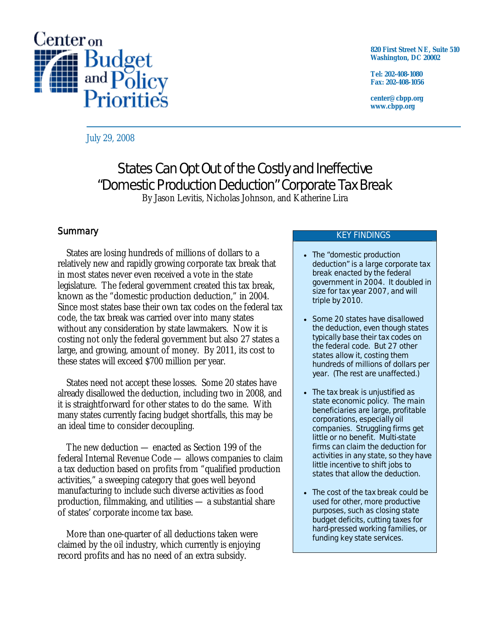

**820 First Street NE, Suite 510 Washington, DC 20002** 

**Tel: 202-408-1080 Fax: 202-408-1056** 

**center@cbpp.org www.cbpp.org** 

July 29, 2008

# States Can Opt Out of the Costly and Ineffective "Domestic Production Deduction" Corporate Tax Break

By Jason Levitis, Nicholas Johnson, and Katherine Lira

# **Summary**

 States are losing hundreds of millions of dollars to a relatively new and rapidly growing corporate tax break that in most states never even received a vote in the state legislature. The federal government created this tax break, known as the "domestic production deduction," in 2004. Since most states base their own tax codes on the federal tax code, the tax break was carried over into many states without any consideration by state lawmakers. Now it is costing not only the federal government but also 27 states a large, and growing, amount of money. By 2011, its cost to these states will exceed \$700 million per year.

 States need not accept these losses. Some 20 states have already disallowed the deduction, including two in 2008, and it is straightforward for other states to do the same. With many states currently facing budget shortfalls, this may be an ideal time to consider decoupling.

 The new deduction — enacted as Section 199 of the federal Internal Revenue Code — allows companies to claim a tax deduction based on profits from "qualified production activities," a sweeping category that goes well beyond manufacturing to include such diverse activities as food production, filmmaking, and utilities — a substantial share of states' corporate income tax base.

 More than one-quarter of all deductions taken were claimed by the oil industry, which currently is enjoying record profits and has no need of an extra subsidy.

### KEY FINDINGS

- The "domestic production deduction" is a large corporate tax break enacted by the federal government in 2004. It doubled in size for tax year 2007, and will triple by 2010.
- Some 20 states have disallowed the deduction, even though states typically base their tax codes on the federal code. But 27 other states allow it, costing them hundreds of millions of dollars per year. (The rest are unaffected.)
- The tax break is unjustified as state economic policy. The main beneficiaries are large, profitable corporations, especially oil companies. Struggling firms get little or no benefit. Multi-state firms can claim the deduction for activities in any state, so they have little incentive to shift jobs to states that allow the deduction.
- The cost of the tax break could be used for other, more productive purposes, such as closing state budget deficits, cutting taxes for hard-pressed working families, or funding key state services.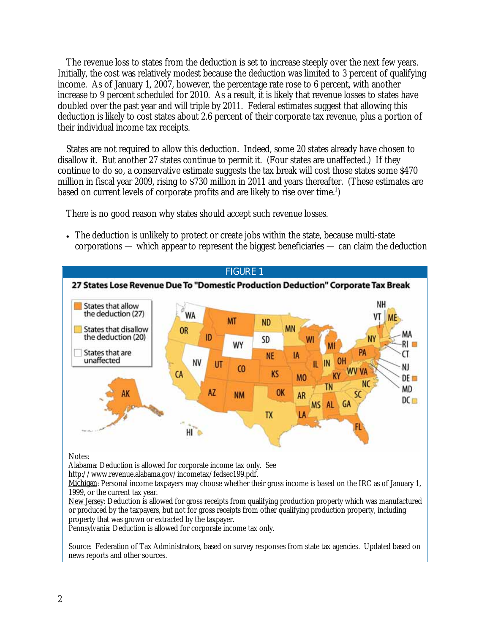The revenue loss to states from the deduction is set to increase steeply over the next few years. Initially, the cost was relatively modest because the deduction was limited to 3 percent of qualifying income. As of January 1, 2007, however, the percentage rate rose to 6 percent, with another increase to 9 percent scheduled for 2010. As a result, it is likely that revenue losses to states have doubled over the past year and will triple by 2011. Federal estimates suggest that allowing this deduction is likely to cost states about 2.6 percent of their corporate tax revenue, plus a portion of their individual income tax receipts.

 States are not required to allow this deduction. Indeed, some 20 states already have chosen to disallow it. But another 27 states continue to permit it. (Four states are unaffected.) If they continue to do so, a conservative estimate suggests the tax break will cost those states some \$470 million in fiscal year 2009, rising to \$730 million in 2011 and years thereafter. (These estimates are based on current levels of corporate profits and are likely to rise over time.<sup>1</sup>)

There is no good reason why states should accept such revenue losses.

• The deduction is unlikely to protect or create jobs within the state, because multi-state corporations — which appear to represent the biggest beneficiaries — can claim the deduction



Source: Federation of Tax Administrators, based on survey responses from state tax agencies. Updated based on news reports and other sources.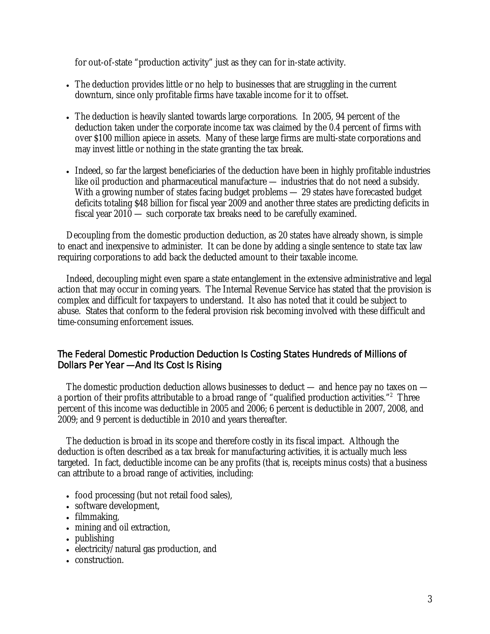for out-of-state "production activity" just as they can for in-state activity.

- The deduction provides little or no help to businesses that are struggling in the current downturn, since only profitable firms have taxable income for it to offset.
- The deduction is heavily slanted towards large corporations. In 2005, 94 percent of the deduction taken under the corporate income tax was claimed by the 0.4 percent of firms with over \$100 million apiece in assets. Many of these large firms are multi-state corporations and may invest little or nothing in the state granting the tax break.
- Indeed, so far the largest beneficiaries of the deduction have been in highly profitable industries like oil production and pharmaceutical manufacture — industries that do not need a subsidy. With a growing number of states facing budget problems — 29 states have forecasted budget deficits totaling \$48 billion for fiscal year 2009 and another three states are predicting deficits in fiscal year 2010 — such corporate tax breaks need to be carefully examined.

 Decoupling from the domestic production deduction, as 20 states have already shown, is simple to enact and inexpensive to administer. It can be done by adding a single sentence to state tax law requiring corporations to add back the deducted amount to their taxable income.

 Indeed, decoupling might even spare a state entanglement in the extensive administrative and legal action that may occur in coming years. The Internal Revenue Service has stated that the provision is complex and difficult for taxpayers to understand. It also has noted that it could be subject to abuse. States that conform to the federal provision risk becoming involved with these difficult and time-consuming enforcement issues.

## The Federal Domestic Production Deduction Is Costing States Hundreds of Millions of Dollars Per Year — And Its Cost Is Rising

The domestic production deduction allows businesses to deduct — and hence pay no taxes on a portion of their profits attributable to a broad range of "qualified production activities."<sup>2</sup> Three percent of this income was deductible in 2005 and 2006; 6 percent is deductible in 2007, 2008, and 2009; and 9 percent is deductible in 2010 and years thereafter.

The deduction is broad in its scope and therefore costly in its fiscal impact. Although the deduction is often described as a tax break for manufacturing activities, it is actually much less targeted. In fact, deductible income can be any profits (that is, receipts minus costs) that a business can attribute to a broad range of activities, including:

- food processing (but not retail food sales),
- software development,
- filmmaking,
- mining and oil extraction,
- publishing
- electricity/natural gas production, and
- construction.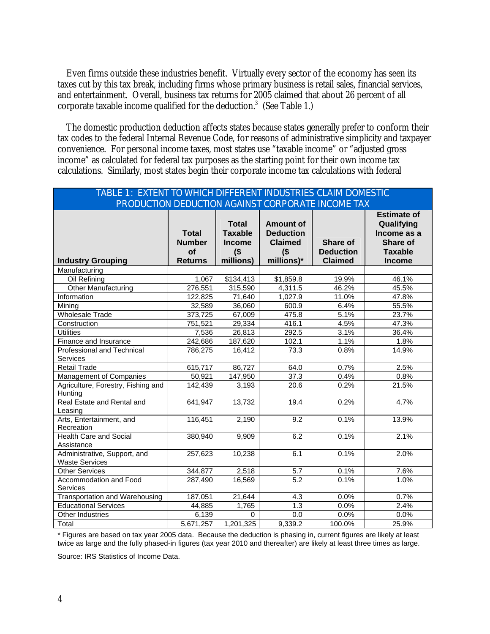Even firms outside these industries benefit. Virtually every sector of the economy has seen its taxes cut by this tax break, including firms whose primary business is retail sales, financial services, and entertainment. Overall, business tax returns for 2005 claimed that about 26 percent of all corporate taxable income qualified for the deduction. $3$  (See Table 1.)

The domestic production deduction affects states because states generally prefer to conform their tax codes to the federal Internal Revenue Code, for reasons of administrative simplicity and taxpayer convenience. For personal income taxes, most states use "taxable income" or "adjusted gross income" as calculated for federal tax purposes as the starting point for their own income tax calculations. Similarly, most states begin their corporate income tax calculations with federal

| TABLE 1: EXTENT TO WHICH DIFFERENT INDUSTRIES CLAIM DOMESTIC |                                                       |                                                                        |                                                                                |                                                |                                                                                                |  |  |  |
|--------------------------------------------------------------|-------------------------------------------------------|------------------------------------------------------------------------|--------------------------------------------------------------------------------|------------------------------------------------|------------------------------------------------------------------------------------------------|--|--|--|
| PRODUCTION DEDUCTION AGAINST CORPORATE INCOME TAX            |                                                       |                                                                        |                                                                                |                                                |                                                                                                |  |  |  |
| <b>Industry Grouping</b>                                     | <b>Total</b><br><b>Number</b><br>of<br><b>Returns</b> | <b>Total</b><br><b>Taxable</b><br><b>Income</b><br>$($ \$<br>millions) | <b>Amount of</b><br><b>Deduction</b><br><b>Claimed</b><br>$($ \$<br>millions)* | Share of<br><b>Deduction</b><br><b>Claimed</b> | <b>Estimate of</b><br>Qualifying<br>Income as a<br>Share of<br><b>Taxable</b><br><b>Income</b> |  |  |  |
| Manufacturing                                                |                                                       |                                                                        |                                                                                |                                                |                                                                                                |  |  |  |
| Oil Refining                                                 | 1,067                                                 | \$134,413                                                              | \$1,859.8                                                                      | 19.9%                                          | 46.1%                                                                                          |  |  |  |
| <b>Other Manufacturing</b>                                   | 276,551                                               | 315,590                                                                | 4,311.5                                                                        | 46.2%                                          | 45.5%                                                                                          |  |  |  |
| Information                                                  | 122,825                                               | 71,640                                                                 | 1,027.9                                                                        | 11.0%                                          | 47.8%                                                                                          |  |  |  |
| Mining                                                       | 32,589                                                | 36,060                                                                 | 600.9                                                                          | 6.4%                                           | 55.5%                                                                                          |  |  |  |
| <b>Wholesale Trade</b>                                       | 373,725                                               | 67,009                                                                 | 475.8                                                                          | 5.1%                                           | 23.7%                                                                                          |  |  |  |
| Construction                                                 | $\overline{751,521}$                                  | 29,334                                                                 | 416.1                                                                          | 4.5%                                           | 47.3%                                                                                          |  |  |  |
| <b>Utilities</b>                                             | 7,536                                                 | 26,813                                                                 | 292.5                                                                          | 3.1%                                           | 36.4%                                                                                          |  |  |  |
| Finance and Insurance                                        | 242,686                                               | 187,620                                                                | 102.1                                                                          | 1.1%                                           | 1.8%                                                                                           |  |  |  |
| Professional and Technical<br>Services                       | 786,275                                               | 16,412                                                                 | 73.3                                                                           | 0.8%                                           | 14.9%                                                                                          |  |  |  |
| <b>Retail Trade</b>                                          | 615,717                                               | 86,727                                                                 | 64.0                                                                           | 0.7%                                           | 2.5%                                                                                           |  |  |  |
| Management of Companies                                      | 50,921                                                | 147,950                                                                | 37.3                                                                           | 0.4%                                           | 0.8%                                                                                           |  |  |  |
| Agriculture, Forestry, Fishing and<br>Hunting                | 142,439                                               | 3,193                                                                  | 20.6                                                                           | 0.2%                                           | 21.5%                                                                                          |  |  |  |
| Real Estate and Rental and<br>Leasing                        | 641,947                                               | 13,732                                                                 | 19.4                                                                           | 0.2%                                           | 4.7%                                                                                           |  |  |  |
| Arts, Entertainment, and<br>Recreation                       | 116,451                                               | 2,190                                                                  | 9.2                                                                            | 0.1%                                           | 13.9%                                                                                          |  |  |  |
| <b>Health Care and Social</b><br>Assistance                  | 380,940                                               | 9,909                                                                  | 6.2                                                                            | 0.1%                                           | 2.1%                                                                                           |  |  |  |
| Administrative, Support, and<br><b>Waste Services</b>        | 257,623                                               | 10,238                                                                 | 6.1                                                                            | 0.1%                                           | 2.0%                                                                                           |  |  |  |
| <b>Other Services</b>                                        | 344,877                                               | 2,518                                                                  | 5.7                                                                            | 0.1%                                           | 7.6%                                                                                           |  |  |  |
| Accommodation and Food<br>Services                           | 287,490                                               | 16,569                                                                 | $\overline{5.2}$                                                               | 0.1%                                           | 1.0%                                                                                           |  |  |  |
| Transportation and Warehousing                               | 187,051                                               | 21,644                                                                 | 4.3                                                                            | 0.0%                                           | 0.7%                                                                                           |  |  |  |
| <b>Educational Services</b>                                  | 44,885                                                | 1,765                                                                  | 1.3                                                                            | 0.0%                                           | 2.4%                                                                                           |  |  |  |
| Other Industries                                             | 6,139                                                 | $\mathbf 0$                                                            | 0.0                                                                            | 0.0%                                           | 0.0%                                                                                           |  |  |  |
| Total                                                        | 5,671,257                                             | 1,201,325                                                              | 9,339.2                                                                        | 100.0%                                         | 25.9%                                                                                          |  |  |  |

\* Figures are based on tax year 2005 data. Because the deduction is phasing in, current figures are likely at least twice as large and the fully phased-in figures (tax year 2010 and thereafter) are likely at least three times as large.

Source: IRS Statistics of Income Data.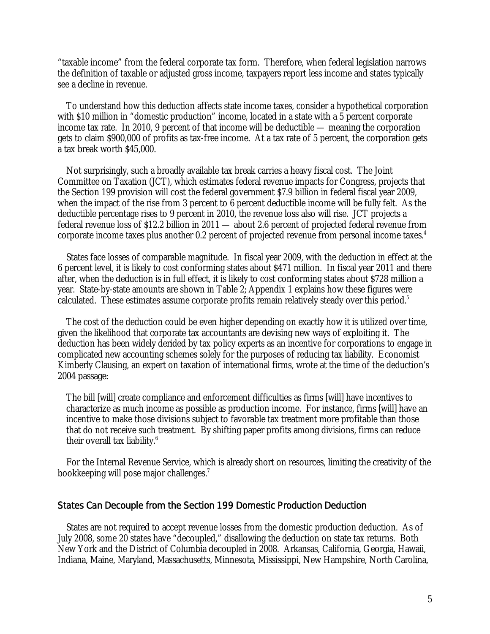"taxable income" from the federal corporate tax form. Therefore, when federal legislation narrows the definition of taxable or adjusted gross income, taxpayers report less income and states typically see a decline in revenue.

To understand how this deduction affects state income taxes, consider a hypothetical corporation with \$10 million in "domestic production" income, located in a state with a 5 percent corporate income tax rate. In 2010, 9 percent of that income will be deductible — meaning the corporation gets to claim \$900,000 of profits as tax-free income. At a tax rate of 5 percent, the corporation gets a tax break worth \$45,000.

Not surprisingly, such a broadly available tax break carries a heavy fiscal cost. The Joint Committee on Taxation (JCT), which estimates federal revenue impacts for Congress, projects that the Section 199 provision will cost the federal government \$7.9 billion in federal fiscal year 2009, when the impact of the rise from 3 percent to 6 percent deductible income will be fully felt. As the deductible percentage rises to 9 percent in 2010, the revenue loss also will rise. JCT projects a federal revenue loss of \$12.2 billion in 2011 — about 2.6 percent of projected federal revenue from corporate income taxes plus another 0.2 percent of projected revenue from personal income taxes.<sup>4</sup>

States face losses of comparable magnitude. In fiscal year 2009, with the deduction in effect at the 6 percent level, it is likely to cost conforming states about \$471 million. In fiscal year 2011 and there after, when the deduction is in full effect, it is likely to cost conforming states about \$728 million a year. State-by-state amounts are shown in Table 2; Appendix 1 explains how these figures were calculated. These estimates assume corporate profits remain relatively steady over this period.<sup>5</sup>

The cost of the deduction could be even higher depending on exactly how it is utilized over time, given the likelihood that corporate tax accountants are devising new ways of exploiting it. The deduction has been widely derided by tax policy experts as an incentive for corporations to engage in complicated new accounting schemes solely for the purposes of reducing tax liability. Economist Kimberly Clausing, an expert on taxation of international firms, wrote at the time of the deduction's 2004 passage:

The bill [will] create compliance and enforcement difficulties as firms [will] have incentives to characterize as much income as possible as production income. For instance, firms [will] have an incentive to make those divisions subject to favorable tax treatment more profitable than those that do not receive such treatment. By shifting paper profits among divisions, firms can reduce their overall tax liability.6

For the Internal Revenue Service, which is already short on resources, limiting the creativity of the bookkeeping will pose major challenges.<sup>7</sup>

#### States Can Decouple from the Section 199 Domestic Production Deduction

 States are not required to accept revenue losses from the domestic production deduction. As of July 2008, some 20 states have "decoupled," disallowing the deduction on state tax returns. Both New York and the District of Columbia decoupled in 2008. Arkansas, California, Georgia, Hawaii, Indiana, Maine, Maryland, Massachusetts, Minnesota, Mississippi, New Hampshire, North Carolina,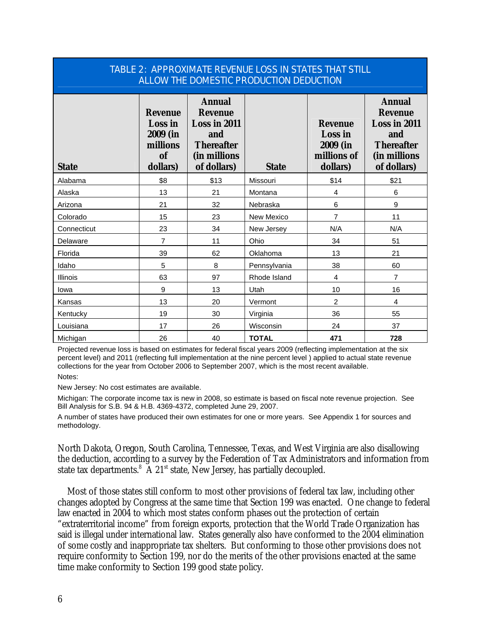| TABLE 2: APPROXIMATE REVENUE LOSS IN STATES THAT STILL<br>ALLOW THE DOMESTIC PRODUCTION DEDUCTION |                                                                                   |                                                                                                            |              |                                                                  |                                                                                                            |  |  |  |
|---------------------------------------------------------------------------------------------------|-----------------------------------------------------------------------------------|------------------------------------------------------------------------------------------------------------|--------------|------------------------------------------------------------------|------------------------------------------------------------------------------------------------------------|--|--|--|
| <b>State</b>                                                                                      | <b>Revenue</b><br><b>Loss</b> in<br>2009 (in<br>millions<br><b>of</b><br>dollars) | <b>Annual</b><br><b>Revenue</b><br>Loss in 2011<br>and<br><b>Thereafter</b><br>(in millions<br>of dollars) | <b>State</b> | <b>Revenue</b><br>Loss in<br>2009 (in<br>millions of<br>dollars) | <b>Annual</b><br><b>Revenue</b><br>Loss in 2011<br>and<br><b>Thereafter</b><br>(in millions<br>of dollars) |  |  |  |
| Alabama                                                                                           | \$8                                                                               | \$13                                                                                                       | Missouri     | \$14                                                             | \$21                                                                                                       |  |  |  |
| Alaska                                                                                            | 13                                                                                | 21                                                                                                         | Montana      | 4                                                                | 6                                                                                                          |  |  |  |
| Arizona                                                                                           | 21                                                                                | 32                                                                                                         | Nebraska     | 6                                                                | 9                                                                                                          |  |  |  |
| Colorado                                                                                          | 15                                                                                | 23                                                                                                         | New Mexico   | $\overline{7}$                                                   | 11                                                                                                         |  |  |  |
| Connecticut                                                                                       | 23                                                                                | 34                                                                                                         | New Jersey   | N/A                                                              | N/A                                                                                                        |  |  |  |
| Delaware                                                                                          | $\overline{7}$                                                                    | 11                                                                                                         | Ohio         | 34                                                               | 51                                                                                                         |  |  |  |
| Florida                                                                                           | 39                                                                                | 62                                                                                                         | Oklahoma     | 13                                                               | 21                                                                                                         |  |  |  |
| Idaho                                                                                             | 5                                                                                 | 8                                                                                                          | Pennsylvania | 38                                                               | 60                                                                                                         |  |  |  |
| <b>Illinois</b>                                                                                   | 63                                                                                | 97                                                                                                         | Rhode Island | 4                                                                | $\overline{7}$                                                                                             |  |  |  |
| lowa                                                                                              | 9                                                                                 | 13                                                                                                         | Utah         | 10                                                               | 16                                                                                                         |  |  |  |
| Kansas                                                                                            | 13                                                                                | 20                                                                                                         | Vermont      | $\overline{2}$                                                   | 4                                                                                                          |  |  |  |
| Kentucky                                                                                          | 19                                                                                | 30                                                                                                         | Virginia     | 36                                                               | 55                                                                                                         |  |  |  |
| Louisiana                                                                                         | 17                                                                                | 26                                                                                                         | Wisconsin    | 24                                                               | 37                                                                                                         |  |  |  |
| Michigan                                                                                          | 26                                                                                | 40                                                                                                         | <b>TOTAL</b> | 471                                                              | 728                                                                                                        |  |  |  |

Projected revenue loss is based on estimates for federal fiscal years 2009 (reflecting implementation at the six percent level) and 2011 (reflecting full implementation at the nine percent level ) applied to actual state revenue collections for the year from October 2006 to September 2007, which is the most recent available.

Notes:

New Jersey: No cost estimates are available.

Michigan: The corporate income tax is new in 2008, so estimate is based on fiscal note revenue projection. See Bill Analysis for S.B. 94 & H.B. 4369-4372, completed June 29, 2007.

A number of states have produced their own estimates for one or more years. See Appendix 1 for sources and methodology.

North Dakota, Oregon, South Carolina, Tennessee, Texas, and West Virginia are also disallowing the deduction, according to a survey by the Federation of Tax Administrators and information from state tax departments. $8\,$  A 21<sup>st</sup> state, New Jersey, has partially decoupled.

 Most of those states still conform to most other provisions of federal tax law, including other changes adopted by Congress at the same time that Section 199 was enacted. One change to federal law enacted in 2004 to which most states conform phases out the protection of certain "extraterritorial income" from foreign exports, protection that the World Trade Organization has said is illegal under international law. States generally also have conformed to the 2004 elimination of some costly and inappropriate tax shelters. But conforming to those other provisions does not require conformity to Section 199, nor do the merits of the other provisions enacted at the same time make conformity to Section 199 good state policy.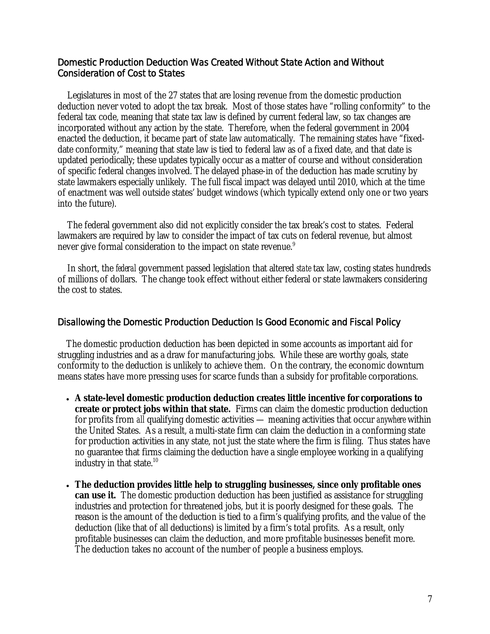## Domestic Production Deduction Was Created Without State Action and Without Consideration of Cost to States

 Legislatures in most of the 27 states that are losing revenue from the domestic production deduction never voted to adopt the tax break. Most of those states have "rolling conformity" to the federal tax code, meaning that state tax law is defined by current federal law, so tax changes are incorporated without any action by the state. Therefore, when the federal government in 2004 enacted the deduction, it became part of state law automatically. The remaining states have "fixeddate conformity," meaning that state law is tied to federal law as of a fixed date, and that date is updated periodically; these updates typically occur as a matter of course and without consideration of specific federal changes involved. The delayed phase-in of the deduction has made scrutiny by state lawmakers especially unlikely. The full fiscal impact was delayed until 2010, which at the time of enactment was well outside states' budget windows (which typically extend only one or two years into the future).

 The federal government also did not explicitly consider the tax break's cost to states. Federal lawmakers are required by law to consider the impact of tax cuts on federal revenue, but almost never give formal consideration to the impact on state revenue. $^9$ 

 In short, the *federal* government passed legislation that altered *state* tax law, costing states hundreds of millions of dollars. The change took effect without either federal or state lawmakers considering the cost to states.

### Disallowing the Domestic Production Deduction Is Good Economic and Fiscal Policy

The domestic production deduction has been depicted in some accounts as important aid for struggling industries and as a draw for manufacturing jobs. While these are worthy goals, state conformity to the deduction is unlikely to achieve them. On the contrary, the economic downturn means states have more pressing uses for scarce funds than a subsidy for profitable corporations.

- **A state-level domestic production deduction creates little incentive for corporations to create or protect jobs within that state.** Firms can claim the domestic production deduction for profits from *all* qualifying domestic activities — meaning activities that occur *anywhere* within the United States. As a result, a multi-state firm can claim the deduction in a conforming state for production activities in any state, not just the state where the firm is filing. Thus states have no guarantee that firms claiming the deduction have a single employee working in a qualifying industry in that state. $10$
- **The deduction provides little help to struggling businesses, since only profitable ones can use it.** The domestic production deduction has been justified as assistance for struggling industries and protection for threatened jobs, but it is poorly designed for these goals. The reason is the amount of the deduction is tied to a firm's qualifying profits, and the value of the deduction (like that of all deductions) is limited by a firm's total profits. As a result, only profitable businesses can claim the deduction, and more profitable businesses benefit more. The deduction takes no account of the number of people a business employs.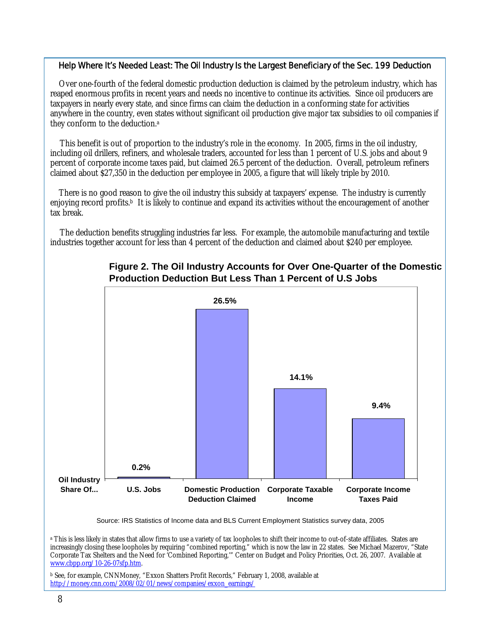#### Help Where It's Needed Least: The Oil Industry Is the Largest Beneficiary of the Sec. 199 Deduction

Over one-fourth of the federal domestic production deduction is claimed by the petroleum industry, which has reaped enormous profits in recent years and needs no incentive to continue its activities. Since oil producers are taxpayers in nearly every state, and since firms can claim the deduction in a conforming state for activities anywhere in the country, even states without significant oil production give major tax subsidies to oil companies if they conform to the deduction.a

This benefit is out of proportion to the industry's role in the economy. In 2005, firms in the oil industry, including oil drillers, refiners, and wholesale traders, accounted for less than 1 percent of U.S. jobs and about 9 percent of corporate income taxes paid, but claimed 26.5 percent of the deduction. Overall, petroleum refiners claimed about \$27,350 in the deduction per employee in 2005, a figure that will likely triple by 2010.

There is no good reason to give the oil industry this subsidy at taxpayers' expense. The industry is currently enjoying record profits.<sup>b</sup> It is likely to continue and expand its activities without the encouragement of another tax break.

The deduction benefits struggling industries far less. For example, the automobile manufacturing and textile industries together account for less than 4 percent of the deduction and claimed about \$240 per employee.



# **Figure 2. The Oil Industry Accounts for Over One-Quarter of the Domestic Production Deduction But Less Than 1 Percent of U.S Jobs**

Source: IRS Statistics of Income data and BLS Current Employment Statistics survey data, 2005

a This is less likely in states that allow firms to use a variety of tax loopholes to shift their income to out-of-state affiliates. States are increasingly closing these loopholes by requiring "combined reporting," which is now the law in 22 states. See Michael Mazerov, "State Corporate Tax Shelters and the Need for 'Combined Reporting,'" Center on Budget and Policy Priorities, Oct. 26, 2007. Available at www.cbpp.org/10-26-07sfp.htm.

b See, for example, CNNMoney, "Exxon Shatters Profit Records," February 1, 2008, available at http://money.cnn.com/2008/02/01/news/companies/exxon\_earnings/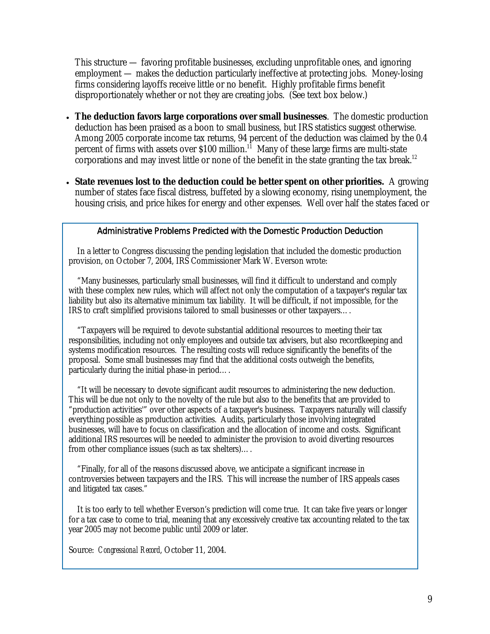This structure — favoring profitable businesses, excluding unprofitable ones, and ignoring employment — makes the deduction particularly ineffective at protecting jobs. Money-losing firms considering layoffs receive little or no benefit. Highly profitable firms benefit disproportionately whether or not they are creating jobs. (See text box below.)

- **The deduction favors large corporations over small businesses**. The domestic production deduction has been praised as a boon to small business, but IRS statistics suggest otherwise. Among 2005 corporate income tax returns, 94 percent of the deduction was claimed by the 0.4 percent of firms with assets over  $$100$  million.<sup>11</sup> Many of these large firms are multi-state corporations and may invest little or none of the benefit in the state granting the tax break.<sup>12</sup>
- **State revenues lost to the deduction could be better spent on other priorities.** A growing number of states face fiscal distress, buffeted by a slowing economy, rising unemployment, the housing crisis, and price hikes for energy and other expenses. Well over half the states faced or

### Administrative Problems Predicted with the Domestic Production Deduction

In a letter to Congress discussing the pending legislation that included the domestic production provision, on October 7, 2004, IRS Commissioner Mark W. Everson wrote:

"Many businesses, particularly small businesses, will find it difficult to understand and comply with these complex new rules, which will affect not only the computation of a taxpayer's regular tax liability but also its alternative minimum tax liability. It will be difficult, if not impossible, for the IRS to craft simplified provisions tailored to small businesses or other taxpayers….

"Taxpayers will be required to devote substantial additional resources to meeting their tax responsibilities, including not only employees and outside tax advisers, but also recordkeeping and systems modification resources. The resulting costs will reduce significantly the benefits of the proposal. Some small businesses may find that the additional costs outweigh the benefits, particularly during the initial phase-in period….

"It will be necessary to devote significant audit resources to administering the new deduction. This will be due not only to the novelty of the rule but also to the benefits that are provided to "production activities'" over other aspects of a taxpayer's business. Taxpayers naturally will classify everything possible as production activities. Audits, particularly those involving integrated businesses, will have to focus on classification and the allocation of income and costs. Significant additional IRS resources will be needed to administer the provision to avoid diverting resources from other compliance issues (such as tax shelters)....

"Finally, for all of the reasons discussed above, we anticipate a significant increase in controversies between taxpayers and the IRS. This will increase the number of IRS appeals cases and litigated tax cases."

It is too early to tell whether Everson's prediction will come true. It can take five years or longer for a tax case to come to trial, meaning that any excessively creative tax accounting related to the tax year 2005 may not become public until 2009 or later.

Source: *Congressional Record*, October 11, 2004.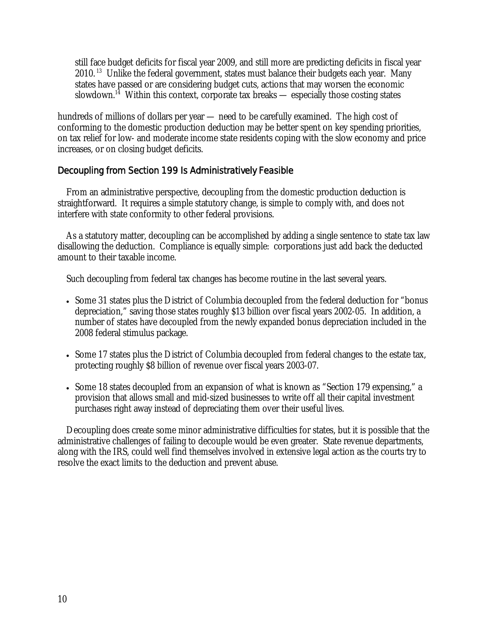still face budget deficits for fiscal year 2009, and still more are predicting deficits in fiscal year  $2010$ . <sup>13</sup> Unlike the federal government, states must balance their budgets each year. Many states have passed or are considering budget cuts, actions that may worsen the economic slowdown.<sup>14</sup> Within this context, corporate tax breaks — especially those costing states

hundreds of millions of dollars per year — need to be carefully examined. The high cost of conforming to the domestic production deduction may be better spent on key spending priorities, on tax relief for low- and moderate income state residents coping with the slow economy and price increases, or on closing budget deficits.

## Decoupling from Section 199 Is Administratively Feasible

From an administrative perspective, decoupling from the domestic production deduction is straightforward. It requires a simple statutory change, is simple to comply with, and does not interfere with state conformity to other federal provisions.

 As a statutory matter, decoupling can be accomplished by adding a single sentence to state tax law disallowing the deduction. Compliance is equally simple: corporations just add back the deducted amount to their taxable income.

Such decoupling from federal tax changes has become routine in the last several years.

- Some 31 states plus the District of Columbia decoupled from the federal deduction for "bonus depreciation," saving those states roughly \$13 billion over fiscal years 2002-05. In addition, a number of states have decoupled from the newly expanded bonus depreciation included in the 2008 federal stimulus package.
- Some 17 states plus the District of Columbia decoupled from federal changes to the estate tax, protecting roughly \$8 billion of revenue over fiscal years 2003-07.
- Some 18 states decoupled from an expansion of what is known as "Section 179 expensing," a provision that allows small and mid-sized businesses to write off all their capital investment purchases right away instead of depreciating them over their useful lives.

Decoupling does create some minor administrative difficulties for states, but it is possible that the administrative challenges of failing to decouple would be even greater. State revenue departments, along with the IRS, could well find themselves involved in extensive legal action as the courts try to resolve the exact limits to the deduction and prevent abuse.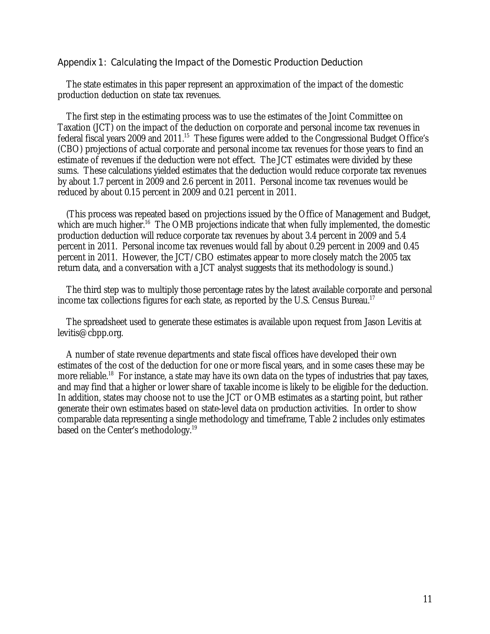#### Appendix 1: Calculating the Impact of the Domestic Production Deduction

The state estimates in this paper represent an approximation of the impact of the domestic production deduction on state tax revenues.

 The first step in the estimating process was to use the estimates of the Joint Committee on Taxation (JCT) on the impact of the deduction on corporate and personal income tax revenues in federal fiscal years 2009 and 2011.15 These figures were added to the Congressional Budget Office's (CBO) projections of actual corporate and personal income tax revenues for those years to find an estimate of revenues if the deduction were not effect. The JCT estimates were divided by these sums. These calculations yielded estimates that the deduction would reduce corporate tax revenues by about 1.7 percent in 2009 and 2.6 percent in 2011. Personal income tax revenues would be reduced by about 0.15 percent in 2009 and 0.21 percent in 2011.

 (This process was repeated based on projections issued by the Office of Management and Budget, which are much higher.<sup>16</sup> The OMB projections indicate that when fully implemented, the domestic production deduction will reduce corporate tax revenues by about 3.4 percent in 2009 and 5.4 percent in 2011. Personal income tax revenues would fall by about 0.29 percent in 2009 and 0.45 percent in 2011. However, the JCT/CBO estimates appear to more closely match the 2005 tax return data, and a conversation with a JCT analyst suggests that its methodology is sound.)

 The third step was to multiply those percentage rates by the latest available corporate and personal income tax collections figures for each state, as reported by the U.S. Census Bureau.<sup>17</sup>

The spreadsheet used to generate these estimates is available upon request from Jason Levitis at levitis@cbpp.org.

A number of state revenue departments and state fiscal offices have developed their own estimates of the cost of the deduction for one or more fiscal years, and in some cases these may be more reliable.<sup>18</sup> For instance, a state may have its own data on the types of industries that pay taxes, and may find that a higher or lower share of taxable income is likely to be eligible for the deduction. In addition, states may choose not to use the JCT or OMB estimates as a starting point, but rather generate their own estimates based on state-level data on production activities. In order to show comparable data representing a single methodology and timeframe, Table 2 includes only estimates based on the Center's methodology.<sup>19</sup>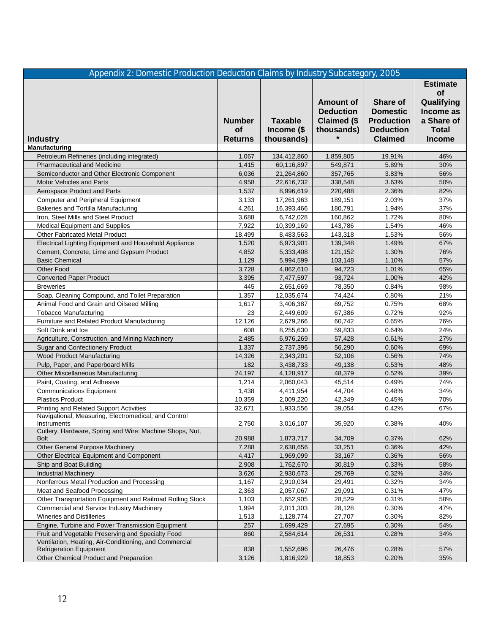| Appendix 2: Domestic Production Deduction Claims by Industry Subcategory, 2005                                                 |                                       |                                            |                                                            |                                                                                               |                                                                                                        |  |
|--------------------------------------------------------------------------------------------------------------------------------|---------------------------------------|--------------------------------------------|------------------------------------------------------------|-----------------------------------------------------------------------------------------------|--------------------------------------------------------------------------------------------------------|--|
| <b>Industry</b>                                                                                                                | <b>Number</b><br>of<br><b>Returns</b> | <b>Taxable</b><br>Income (\$<br>thousands) | Amount of<br><b>Deduction</b><br>Claimed (\$<br>thousands) | <b>Share of</b><br><b>Domestic</b><br><b>Production</b><br><b>Deduction</b><br><b>Claimed</b> | <b>Estimate</b><br><b>of</b><br>Qualifying<br>Income as<br>a Share of<br><b>Total</b><br><b>Income</b> |  |
| Manufacturing                                                                                                                  |                                       |                                            |                                                            |                                                                                               |                                                                                                        |  |
| Petroleum Refineries (including integrated)                                                                                    | 1,067                                 | 134,412,860                                | 1,859,805                                                  | 19.91%                                                                                        | 46%                                                                                                    |  |
| <b>Pharmaceutical and Medicine</b>                                                                                             | 1,415                                 | 60,116,897                                 | 549,871                                                    | 5.89%                                                                                         | 30%                                                                                                    |  |
| Semiconductor and Other Electronic Component                                                                                   | 6,036                                 | 21,264,860                                 | 357,765                                                    | 3.83%                                                                                         | 56%                                                                                                    |  |
| <b>Motor Vehicles and Parts</b>                                                                                                | 4,958                                 | 22,616,732                                 | 338,548                                                    | 3.63%                                                                                         | 50%                                                                                                    |  |
| Aerospace Product and Parts                                                                                                    | 1,537                                 | 8,996,619                                  | 220,488                                                    | 2.36%                                                                                         | 82%                                                                                                    |  |
| <b>Computer and Peripheral Equipment</b>                                                                                       | 3,133                                 | 17,261,963                                 | 189,151                                                    | 2.03%                                                                                         | 37%                                                                                                    |  |
| Bakeries and Tortilla Manufacturing                                                                                            | 4,261                                 | 16,393,466                                 | 180,791                                                    | 1.94%                                                                                         | 37%                                                                                                    |  |
| Iron, Steel Mills and Steel Product                                                                                            | 3,688                                 | 6,742,028                                  | 160,862                                                    | 1.72%                                                                                         | 80%                                                                                                    |  |
| <b>Medical Equipment and Supplies</b>                                                                                          | 7,922                                 | 10,399,169                                 | 143,786                                                    | 1.54%                                                                                         | 46%                                                                                                    |  |
| <b>Other Fabricated Metal Product</b>                                                                                          | 18,499                                | 8,483,563                                  | 143,318                                                    | 1.53%                                                                                         | 56%                                                                                                    |  |
| Electrical Lighting Equipment and Household Appliance                                                                          | 1,520                                 | 6,973,901                                  | 139,348                                                    | 1.49%                                                                                         | 67%                                                                                                    |  |
| Cement, Concrete, Lime and Gypsum Product                                                                                      | 4,852                                 | 5,333,408                                  | 121,152                                                    | 1.30%                                                                                         | 76%                                                                                                    |  |
| <b>Basic Chemical</b>                                                                                                          | 1,129                                 | 5,994,599                                  | 103,148                                                    | 1.10%                                                                                         | 57%                                                                                                    |  |
| Other Food                                                                                                                     | 3,728                                 | 4,862,610                                  | 94,723                                                     | 1.01%                                                                                         | 65%                                                                                                    |  |
| <b>Converted Paper Product</b>                                                                                                 | 3,395                                 | 7,477,597                                  | 93.724                                                     | 1.00%                                                                                         | 42%                                                                                                    |  |
| <b>Breweries</b>                                                                                                               | 445                                   | 2,651,669                                  | 78,350                                                     | 0.84%                                                                                         | 98%                                                                                                    |  |
| Soap, Cleaning Compound, and Toilet Preparation                                                                                | 1,357                                 | 12,035,674                                 | 74,424                                                     | 0.80%                                                                                         | 21%                                                                                                    |  |
| Animal Food and Grain and Oilseed Milling                                                                                      | 1,617                                 | 3,406,387                                  | 69,752                                                     | 0.75%                                                                                         | 68%                                                                                                    |  |
| <b>Tobacco Manufacturing</b>                                                                                                   | 23                                    | 2,449,609                                  | 67,386                                                     | 0.72%                                                                                         | 92%                                                                                                    |  |
| Furniture and Related Product Manufacturing                                                                                    | 12,126                                | 2,679,266                                  | 60,742                                                     | 0.65%                                                                                         | 76%                                                                                                    |  |
| Soft Drink and Ice                                                                                                             | 608                                   | 8,255,630                                  | 59,833                                                     | 0.64%                                                                                         | 24%                                                                                                    |  |
| Agriculture, Construction, and Mining Machinery                                                                                | 2,485                                 | 6,976,269                                  | 57,428                                                     | 0.61%                                                                                         | 27%                                                                                                    |  |
| <b>Sugar and Confectionery Product</b>                                                                                         | 1,337                                 | 2,737,396                                  | 56,290                                                     | 0.60%                                                                                         | 69%                                                                                                    |  |
| <b>Wood Product Manufacturing</b>                                                                                              | 14,326                                | 2,343,201                                  | 52,106                                                     | 0.56%                                                                                         | 74%                                                                                                    |  |
| Pulp, Paper, and Paperboard Mills                                                                                              | 182                                   | 3,438,733                                  | 49,138                                                     | 0.53%                                                                                         | 48%                                                                                                    |  |
| <b>Other Miscellaneous Manufacturing</b>                                                                                       | 24,197                                | 4,128,917                                  | 48,379                                                     | 0.52%                                                                                         | 39%                                                                                                    |  |
| Paint, Coating, and Adhesive                                                                                                   | 1,214                                 | 2,060,043                                  | 45,514                                                     | 0.49%                                                                                         | 74%                                                                                                    |  |
| <b>Communications Equipment</b>                                                                                                | 1,438                                 | 4,411,954                                  | 44,704                                                     | 0.48%                                                                                         | 34%                                                                                                    |  |
| <b>Plastics Product</b>                                                                                                        | 10,359                                | 2,009,220                                  | 42,349                                                     | 0.45%                                                                                         | 70%                                                                                                    |  |
| <b>Printing and Related Support Activities</b>                                                                                 | 32,671                                | 1,933,556                                  | 39,054                                                     | 0.42%                                                                                         | 67%                                                                                                    |  |
| Navigational, Measuring, Electromedical, and Control<br>Instruments<br>Cutlery, Hardware, Spring and Wire: Machine Shops, Nut, | 2,750                                 | 3,016,107                                  | 35,920                                                     | 0.38%                                                                                         | 40%                                                                                                    |  |
| <b>Bolt</b>                                                                                                                    | 20,988                                | 1,873,717                                  | 34,709                                                     | 0.37%                                                                                         | 62%                                                                                                    |  |
| Other General Purpose Machinery                                                                                                | 7,288                                 | 2,638,656                                  | 33,251                                                     | 0.36%                                                                                         | 42%                                                                                                    |  |
| Other Electrical Equipment and Component                                                                                       | 4,417                                 | 1,969,099                                  | 33,167                                                     | 0.36%                                                                                         | 56%                                                                                                    |  |
| Ship and Boat Building                                                                                                         | 2,908                                 | 1,762,670                                  | 30,819                                                     | 0.33%                                                                                         | 58%                                                                                                    |  |
| <b>Industrial Machinery</b>                                                                                                    | 3,626                                 | 2,930,673                                  | 29,769                                                     | 0.32%                                                                                         | 34%                                                                                                    |  |
| Nonferrous Metal Production and Processing                                                                                     | 1,167                                 | 2,910,034                                  | 29,491                                                     | 0.32%                                                                                         | 34%                                                                                                    |  |
| Meat and Seafood Processing                                                                                                    | 2,363                                 | 2,057,067                                  | 29,091                                                     | 0.31%                                                                                         | 47%                                                                                                    |  |
| Other Transportation Equipment and Railroad Rolling Stock                                                                      | 1,103                                 | 1,652,905                                  | 28,529                                                     | 0.31%                                                                                         | 58%                                                                                                    |  |
| Commercial and Service Industry Machinery                                                                                      | 1,994                                 | 2,011,303                                  | 28,128                                                     | 0.30%                                                                                         | 47%                                                                                                    |  |
| Wineries and Distilleries                                                                                                      | 1,513                                 | 1,128,774                                  | 27,707                                                     | 0.30%                                                                                         | 82%                                                                                                    |  |
| Engine, Turbine and Power Transmission Equipment                                                                               | 257                                   | 1,699,429                                  | 27,695                                                     | 0.30%                                                                                         | 54%                                                                                                    |  |
| Fruit and Vegetable Preserving and Specialty Food                                                                              | 860                                   | 2,584,614                                  | 26,531                                                     | 0.28%                                                                                         | 34%                                                                                                    |  |
| Ventilation, Heating, Air-Conditioning, and Commercial<br><b>Refrigeration Equipment</b>                                       | 838                                   | 1,552,696                                  | 26,476                                                     | 0.28%                                                                                         | 57%                                                                                                    |  |
| Other Chemical Product and Preparation                                                                                         | 3,126                                 | 1,816,929                                  | 18,853                                                     | 0.20%                                                                                         | 35%                                                                                                    |  |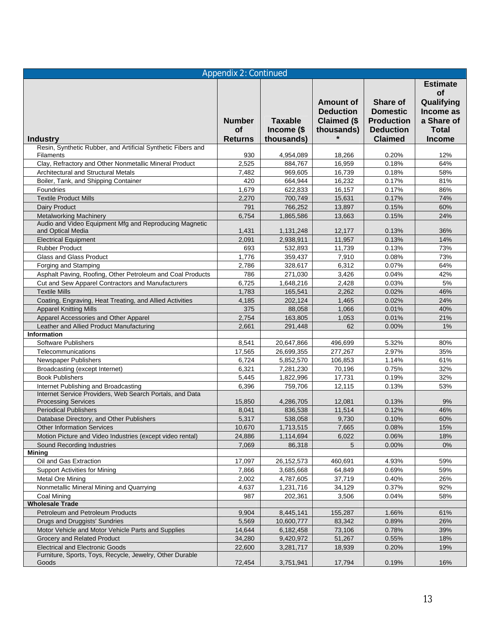| <b>Appendix 2: Continued</b>                                                           |                            |                              |                                  |                                       |                                                         |  |
|----------------------------------------------------------------------------------------|----------------------------|------------------------------|----------------------------------|---------------------------------------|---------------------------------------------------------|--|
|                                                                                        |                            |                              | Amount of<br><b>Deduction</b>    | Share of<br><b>Domestic</b>           | <b>Estimate</b><br><b>of</b><br>Qualifying<br>Income as |  |
|                                                                                        | <b>Number</b><br><b>of</b> | <b>Taxable</b><br>Income (\$ | <b>Claimed (\$</b><br>thousands) | <b>Production</b><br><b>Deduction</b> | a Share of<br><b>Total</b>                              |  |
| <b>Industry</b>                                                                        | <b>Returns</b>             | thousands)                   |                                  | <b>Claimed</b>                        | <b>Income</b>                                           |  |
| Resin, Synthetic Rubber, and Artificial Synthetic Fibers and                           |                            |                              |                                  |                                       |                                                         |  |
| <b>Filaments</b><br>Clay, Refractory and Other Nonmetallic Mineral Product             | 930<br>2,525               | 4,954,089<br>884,767         | 18,266<br>16,959                 | 0.20%<br>0.18%                        | 12%<br>64%                                              |  |
| Architectural and Structural Metals                                                    | 7,482                      | 969,605                      | 16,739                           | 0.18%                                 | 58%                                                     |  |
| Boiler, Tank, and Shipping Container                                                   | 420                        | 664,944                      | 16,232                           | 0.17%                                 | 81%                                                     |  |
| Foundries                                                                              | 1,679                      | 622,833                      | 16,157                           | 0.17%                                 | 86%                                                     |  |
| <b>Textile Product Mills</b>                                                           | 2,270                      | 700,749                      | 15,631                           | 0.17%                                 | 74%                                                     |  |
| <b>Dairy Product</b>                                                                   | 791                        | 766,252                      | 13,897                           | 0.15%                                 | 60%                                                     |  |
| <b>Metalworking Machinery</b>                                                          | 6,754                      | 1,865,586                    | 13,663                           | 0.15%                                 | 24%                                                     |  |
| Audio and Video Equipment Mfg and Reproducing Magnetic<br>and Optical Media            | 1,431                      | 1,131,248                    | 12,177                           | 0.13%                                 | 36%                                                     |  |
| <b>Electrical Equipment</b>                                                            | 2,091                      | 2,938,911                    | 11,957                           | 0.13%                                 | 14%                                                     |  |
| <b>Rubber Product</b>                                                                  | 693                        | 532,893                      | 11,739                           | 0.13%                                 | 73%                                                     |  |
| <b>Glass and Glass Product</b>                                                         | 1,776                      | 359,437                      | 7,910                            | 0.08%                                 | 73%                                                     |  |
| Forging and Stamping                                                                   | 2,786                      | 328,617                      | 6,312                            | 0.07%                                 | 64%                                                     |  |
| Asphalt Paving, Roofing, Other Petroleum and Coal Products                             | 786                        | 271,030                      | 3,426                            | 0.04%                                 | 42%                                                     |  |
| Cut and Sew Apparel Contractors and Manufacturers                                      | 6,725                      | 1,648,216                    | 2,428                            | 0.03%                                 | 5%                                                      |  |
| <b>Textile Mills</b>                                                                   | 1,783                      | 165,541                      | 2,262                            | 0.02%                                 | 46%                                                     |  |
| Coating, Engraving, Heat Treating, and Allied Activities                               | 4,185                      | 202,124                      | 1,465                            | 0.02%                                 | 24%                                                     |  |
| <b>Apparel Knitting Mills</b>                                                          | 375                        | 88,058                       | 1,066                            | 0.01%                                 | 40%                                                     |  |
| Apparel Accessories and Other Apparel                                                  | 2,754                      | 163,805                      | 1,053                            | 0.01%                                 | 21%                                                     |  |
| Leather and Allied Product Manufacturing                                               | 2,661                      | 291,448                      | 62                               | 0.00%                                 | 1%                                                      |  |
| Information                                                                            |                            |                              |                                  |                                       |                                                         |  |
| Software Publishers                                                                    | 8,541                      | 20,647,866                   | 496,699                          | 5.32%<br>2.97%                        | 80%<br>35%                                              |  |
| Telecommunications<br>Newspaper Publishers                                             | 17,565<br>6,724            | 26,699,355<br>5,852,570      | 277,267<br>106,853               | 1.14%                                 | 61%                                                     |  |
| Broadcasting (except Internet)                                                         | 6,321                      | 7,281,230                    | 70,196                           | 0.75%                                 | 32%                                                     |  |
| <b>Book Publishers</b>                                                                 | 5,445                      | 1,822,996                    | 17.731                           | 0.19%                                 | 32%                                                     |  |
| Internet Publishing and Broadcasting                                                   | 6,396                      | 759,706                      | 12,115                           | 0.13%                                 | 53%                                                     |  |
| Internet Service Providers, Web Search Portals, and Data<br><b>Processing Services</b> | 15,850                     | 4,286,705                    | 12,081                           | 0.13%                                 | 9%                                                      |  |
| <b>Periodical Publishers</b>                                                           | 8,041                      | 836,538                      | 11,514                           | 0.12%                                 | 46%                                                     |  |
| Database Directory, and Other Publishers                                               | 5,317                      | 538,058                      | 9,730                            | 0.10%                                 | 60%                                                     |  |
| Other Information Services                                                             | 10,670                     | 1,713,515                    | 7,665                            | 0.08%                                 | 15%                                                     |  |
| Motion Picture and Video Industries (except video rental)                              | 24,886                     | 1,114,694                    | 6,022                            | 0.06%                                 | 18%                                                     |  |
| Sound Recording Industries                                                             | 7,069                      | 86,318                       | 5                                | 0.00%                                 | 0%                                                      |  |
| <b>Mining</b>                                                                          |                            |                              |                                  |                                       |                                                         |  |
| Oil and Gas Extraction                                                                 | 17,097                     | 26, 152, 573                 | 460,691                          | 4.93%                                 | 59%                                                     |  |
| <b>Support Activities for Mining</b>                                                   | 7,866                      | 3,685,668                    | 64,849                           | 0.69%                                 | 59%                                                     |  |
| Metal Ore Mining                                                                       | 2,002                      | 4,787,605                    | 37,719                           | 0.40%                                 | 26%                                                     |  |
| Nonmetallic Mineral Mining and Quarrying                                               | 4,637                      | 1,231,716                    | 34,129                           | 0.37%                                 | 92%                                                     |  |
| Coal Mining                                                                            | 987                        | 202,361                      | 3,506                            | 0.04%                                 | 58%                                                     |  |
| <b>Wholesale Trade</b>                                                                 |                            |                              |                                  |                                       |                                                         |  |
| Petroleum and Petroleum Products                                                       | 9,904                      | 8,445,141                    | 155,287                          | 1.66%                                 | 61%                                                     |  |
| Drugs and Druggists' Sundries<br>Motor Vehicle and Motor Vehicle Parts and Supplies    | 5,569                      | 10,600,777                   | 83,342                           | 0.89%                                 | 26%                                                     |  |
| Grocery and Related Product                                                            | 14,644<br>34,280           | 6,182,458                    | 73,106                           | 0.78%                                 | 39%<br>18%                                              |  |
| <b>Electrical and Electronic Goods</b>                                                 | 22,600                     | 9,420,972<br>3,281,717       | 51,267<br>18,939                 | 0.55%<br>0.20%                        | 19%                                                     |  |
| Furniture, Sports, Toys, Recycle, Jewelry, Other Durable                               |                            |                              |                                  |                                       |                                                         |  |
| Goods                                                                                  | 72,454                     | 3,751,941                    | 17,794                           | 0.19%                                 | 16%                                                     |  |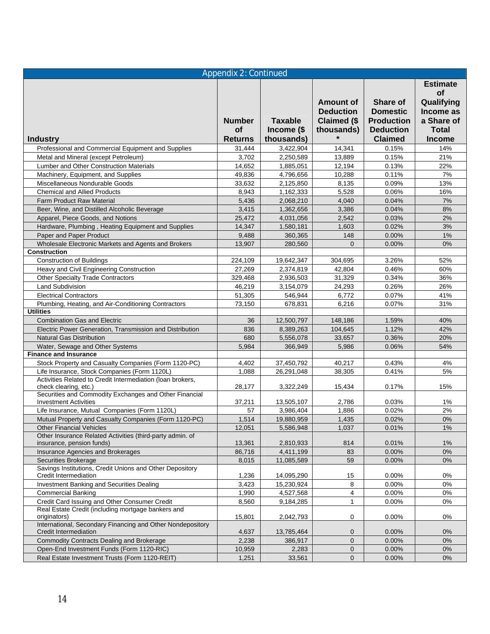|                                                                                     | <b>Appendix 2: Continued</b> |                              |                                      |                                       |                                                         |
|-------------------------------------------------------------------------------------|------------------------------|------------------------------|--------------------------------------|---------------------------------------|---------------------------------------------------------|
|                                                                                     |                              |                              | <b>Amount of</b><br><b>Deduction</b> | <b>Share of</b><br><b>Domestic</b>    | <b>Estimate</b><br><b>of</b><br>Qualifying<br>Income as |
|                                                                                     | <b>Number</b><br>of          | <b>Taxable</b><br>Income (\$ | Claimed (\$<br>thousands)            | <b>Production</b><br><b>Deduction</b> | a Share of<br><b>Total</b>                              |
| <b>Industry</b>                                                                     | <b>Returns</b>               | thousands)                   |                                      | <b>Claimed</b>                        | <b>Income</b>                                           |
| Professional and Commercial Equipment and Supplies                                  | 31,444                       | 3,422,904                    | 14,341                               | 0.15%                                 | 14%                                                     |
| Metal and Mineral (except Petroleum)                                                | 3,702                        | 2,250,589                    | 13,889                               | 0.15%                                 | 21%                                                     |
| Lumber and Other Construction Materials                                             | 14,652                       | 1,885,051                    | 12,194                               | 0.13%                                 | 22%                                                     |
| Machinery, Equipment, and Supplies                                                  | 49,836                       | 4,796,656                    | 10,288                               | 0.11%                                 | 7%                                                      |
| Miscellaneous Nondurable Goods                                                      | 33,632                       | 2,125,850                    | 8,135                                | 0.09%                                 | 13%                                                     |
| <b>Chemical and Allied Products</b>                                                 | 8,943                        | 1,162,333                    | 5,528                                | 0.06%                                 | 16%                                                     |
| <b>Farm Product Raw Material</b>                                                    | 5,436                        | 2,068,210                    | 4,040                                | 0.04%                                 | 7%                                                      |
| Beer, Wine, and Distilled Alcoholic Beverage                                        | 3,415                        | 1,362,656                    | 3,386                                | 0.04%                                 | 8%                                                      |
| Apparel, Piece Goods, and Notions                                                   | 25,472                       | 4,031,056                    | 2,542                                | 0.03%                                 | 2%                                                      |
| Hardware, Plumbing, Heating Equipment and Supplies                                  | 14,347                       | 1,580,181                    | 1,603                                | 0.02%                                 | 3%                                                      |
| Paper and Paper Product                                                             | 9,488                        | 360,365                      | 148                                  | 0.00%                                 | 1%                                                      |
| Wholesale Electronic Markets and Agents and Brokers                                 | 13.907                       | 280,560                      | $\Omega$                             | 0.00%                                 | 0%                                                      |
| <b>Construction</b>                                                                 |                              |                              |                                      |                                       |                                                         |
| <b>Construction of Buildings</b>                                                    | 224,109                      | 19,642,347                   | 304,695                              | 3.26%                                 | 52%                                                     |
| Heavy and Civil Engineering Construction                                            | 27,269                       | 2,374,819                    | 42,804                               | 0.46%                                 | 60%                                                     |
| <b>Other Specialty Trade Contractors</b>                                            | 329,468                      | 2,936,503                    | 31,329                               | 0.34%                                 | 36%                                                     |
| <b>Land Subdivision</b>                                                             | 46,219                       | 3,154,079                    | 24.293                               | 0.26%                                 | 26%                                                     |
| <b>Electrical Contractors</b>                                                       | 51,305                       | 546,944                      | 6,772                                | 0.07%                                 | 41%                                                     |
| Plumbing, Heating, and Air-Conditioning Contractors<br><b>Utilities</b>             | 73,150                       | 678,831                      | 6,216                                | 0.07%                                 | 31%                                                     |
| <b>Combination Gas and Electric</b>                                                 | 36                           | 12,500,797                   | 148,186                              | 1.59%                                 | 40%                                                     |
| Electric Power Generation, Transmission and Distribution                            | 836                          | 8,389,263                    | 104,645                              | 1.12%                                 | 42%                                                     |
| <b>Natural Gas Distribution</b>                                                     | 680                          | 5,556,078                    | 33,657                               | 0.36%                                 | 20%                                                     |
| Water, Sewage and Other Systems                                                     | 5,984                        | 366,949                      | 5,986                                | 0.06%                                 | 54%                                                     |
| <b>Finance and Insurance</b>                                                        |                              |                              |                                      |                                       |                                                         |
| Stock Property and Casualty Companies (Form 1120-PC)                                | 4,402                        | 37,450,792                   | 40,217                               | 0.43%                                 | 4%                                                      |
| Life Insurance, Stock Companies (Form 1120L)                                        | 1,088                        | 26,291,048                   | 38,305                               | 0.41%                                 | 5%                                                      |
| Activities Related to Credit Intermediation (Ioan brokers,<br>check clearing, etc.) | 28,177                       | 3,322,249                    | 15,434                               | 0.17%                                 | 15%                                                     |
| Securities and Commodity Exchanges and Other Financial                              |                              |                              |                                      |                                       |                                                         |
| <b>Investment Activities</b>                                                        | 37,211                       | 13,505,107                   | 2,786                                | 0.03%                                 | $1\%$                                                   |
| Life Insurance, Mutual Companies (Form 1120L)                                       | 57                           | 3,986,404                    | 1,886                                | 0.02%                                 | 2%                                                      |
| Mutual Property and Casualty Companies (Form 1120-PC)                               | 1,514                        | 19,880,959                   | 1,435                                | 0.02%                                 | 0%                                                      |
| <b>Other Financial Vehicles</b>                                                     | 12,051                       | 5,586,948                    | 1,037                                | 0.01%                                 | $1\%$                                                   |
| Other Insurance Related Activities (third-party admin. of                           |                              |                              |                                      |                                       |                                                         |
| insurance, pension funds)                                                           | 13,361<br>86,716             | 2,810,933<br>4,411,199       | 814                                  | 0.01%                                 | $1\%$                                                   |
| Insurance Agencies and Brokerages                                                   |                              |                              | 83<br>59                             | 0.00%                                 | $0\%$<br>0%                                             |
| Securities Brokerage<br>Savings Institutions, Credit Unions and Other Depository    | 8,015                        | 11,085,589                   |                                      | 0.00%                                 |                                                         |
| Credit Intermediation                                                               | 1,236                        | 14,095,290                   | 15                                   | 0.00%                                 | 0%                                                      |
| Investment Banking and Securities Dealing                                           | 3,423                        | 15,230,924                   | 8                                    | 0.00%                                 | 0%                                                      |
| <b>Commercial Banking</b>                                                           | 1,990                        | 4,527,568                    | 4                                    | $0.00\%$                              | 0%                                                      |
| Credit Card Issuing and Other Consumer Credit                                       | 8,560                        | 9,184,285                    | $\mathbf{1}$                         | 0.00%                                 | 0%                                                      |
| Real Estate Credit (including mortgage bankers and<br>originators)                  | 15,801                       | 2,042,793                    | 0                                    | 0.00%                                 | 0%                                                      |
| International, Secondary Financing and Other Nondepository<br>Credit Intermediation | 4,637                        | 13,785,464                   | 0                                    | $0.00\%$                              | 0%                                                      |
| <b>Commodity Contracts Dealing and Brokerage</b>                                    | 2,238                        | 386,917                      | $\mathbf 0$                          | 0.00%                                 | 0%                                                      |
| Open-End Investment Funds (Form 1120-RIC)                                           | 10,959                       | 2,283                        | $\mathbf 0$                          | 0.00%                                 | 0%                                                      |
| Real Estate Investment Trusts (Form 1120-REIT)                                      | 1,251                        | 33,561                       | $\mathbf 0$                          | 0.00%                                 | 0%                                                      |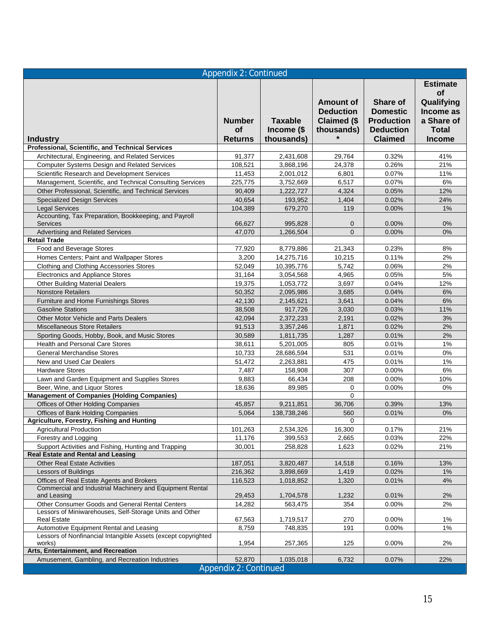| <b>Estimate</b><br><b>of</b><br>Qualifying<br><b>Amount of</b><br><b>Share of</b><br>Income as<br><b>Deduction</b><br><b>Domestic</b><br><b>Taxable</b><br>Claimed (\$<br><b>Production</b><br>a Share of<br><b>Number</b><br><b>of</b><br>Income (\$<br><b>Deduction</b><br><b>Total</b><br>thousands)<br><b>Claimed</b><br><b>Returns</b><br>thousands)<br><b>Income</b><br><b>Industry</b><br>Professional, Scientific, and Technical Services<br>29,764<br>0.32%<br>41%<br>Architectural, Engineering, and Related Services<br>91,377<br>2,431,608<br>Computer Systems Design and Related Services<br>108,521<br>3,868,196<br>24,378<br>0.26%<br>21%<br>Scientific Research and Development Services<br>0.07%<br>11%<br>11,453<br>2,001,012<br>6,801<br>Management, Scientific, and Technical Consulting Services<br>6,517<br>0.07%<br>6%<br>225,775<br>3,752,669<br>Other Professional, Scientific, and Technical Services<br>0.05%<br>12%<br>90,409<br>1,222,727<br>4,324<br>40,654<br>1,404<br>0.02%<br>24%<br><b>Specialized Design Services</b><br>193,952<br><b>Legal Services</b><br>104,389<br>679,270<br>119<br>0.00%<br>1%<br>Accounting, Tax Preparation, Bookkeeping, and Payroll<br><b>Services</b><br>0.00%<br>0%<br>66,627<br>995,828<br>0<br>Advertising and Related Services<br>47,070<br>$\Omega$<br>0.00%<br>0%<br>1,266,504<br><b>Retail Trade</b><br>Food and Beverage Stores<br>77,920<br>8,779,886<br>21,343<br>0.23%<br>8%<br>2%<br>Homes Centers; Paint and Wallpaper Stores<br>3,200<br>10,215<br>0.11%<br>14,275,716<br>Clothing and Clothing Accessories Stores<br>52,049<br>10,395,776<br>5,742<br>0.06%<br>2%<br>Electronics and Appliance Stores<br>31,164<br>3,054,568<br>4,965<br>0.05%<br>5%<br>0.04%<br>12%<br><b>Other Building Material Dealers</b><br>19,375<br>1,053,772<br>3,697<br>0.04%<br>6%<br><b>Nonstore Retailers</b><br>50,352<br>2,095,986<br>3,685<br>6%<br>3,641<br>0.04%<br>Furniture and Home Furnishings Stores<br>42,130<br>2,145,621<br>38,508<br>3,030<br>0.03%<br>11%<br><b>Gasoline Stations</b><br>917,726<br>Other Motor Vehicle and Parts Dealers<br>42,094<br>2,372,233<br>0.02%<br>3%<br>2,191<br><b>Miscellaneous Store Retailers</b><br>2%<br>91,513<br>1,871<br>0.02%<br>3,357,246<br>2%<br>30,589<br>1,287<br>0.01%<br>Sporting Goods, Hobby, Book, and Music Stores<br>1,811,735<br>1%<br>Health and Personal Care Stores<br>0.01%<br>38,611<br>5,201,005<br>805<br>0%<br><b>General Merchandise Stores</b><br>10,733<br>531<br>0.01%<br>28,686,594<br>New and Used Car Dealers<br>2,263,881<br>0.01%<br>1%<br>51,472<br>475<br><b>Hardware Stores</b><br>0.00%<br>6%<br>7,487<br>158,908<br>307<br>Lawn and Garden Equipment and Supplies Stores<br>9,883<br>66,434<br>208<br>0.00%<br>10%<br>89,985<br>Beer, Wine, and Liquor Stores<br>18,636<br>0<br>0.00%<br>0%<br><b>Management of Companies (Holding Companies)</b><br>$\Omega$<br>Offices of Other Holding Companies<br>13%<br>45,857<br>9,211,851<br>36,706<br>0.39%<br>Offices of Bank Holding Companies<br>0%<br>5,064<br>138,738,246<br>560<br>0.01%<br><b>Agriculture, Forestry, Fishing and Hunting</b><br>0<br>2,534,326<br>16,300<br>21%<br><b>Agricultural Production</b><br>101,263<br>0.17%<br>Forestry and Logging<br>399,553<br>0.03%<br>11,176<br>2,665<br>22%<br>Support Activities and Fishing, Hunting and Trapping<br>30,001<br>258,828<br>1,623<br>0.02%<br>21%<br><b>Real Estate and Rental and Leasing</b><br><b>Other Real Estate Activities</b><br>3,820,487<br>0.16%<br>13%<br>187,051<br>14,518<br>Lessors of Buildings<br>216,362<br>1,419<br>0.02%<br>$1\%$<br>3,898,669<br>Offices of Real Estate Agents and Brokers<br>116,523<br>1,018,852<br>1,320<br>0.01%<br>4%<br>Commercial and Industrial Machinery and Equipment Rental<br>and Leasing<br>1,232<br>0.01%<br>2%<br>29,453<br>1,704,578<br>Other Consumer Goods and General Rental Centers<br>2%<br>14,282<br>563,475<br>354<br>$0.00\%$<br>Lessors of Miniwarehouses, Self-Storage Units and Other<br><b>Real Estate</b><br>67,563<br>270<br>0.00%<br>1%<br>1,719,517<br>Automotive Equipment Rental and Leasing<br>8,759<br>748,835<br>0.00%<br>1%<br>191<br>Lessors of Nonfinancial Intangible Assets (except copyrighted<br>works)<br>1,954<br>125<br>0.00%<br>2%<br>257,365<br>Arts, Entertainment, and Recreation<br>Amusement, Gambling, and Recreation Industries<br>52,870<br>1,035,018<br>6,732<br>0.07%<br>22%<br><b>Appendix 2: Continued</b> | <b>Appendix 2: Continued</b> |  |  |  |  |  |  |
|-------------------------------------------------------------------------------------------------------------------------------------------------------------------------------------------------------------------------------------------------------------------------------------------------------------------------------------------------------------------------------------------------------------------------------------------------------------------------------------------------------------------------------------------------------------------------------------------------------------------------------------------------------------------------------------------------------------------------------------------------------------------------------------------------------------------------------------------------------------------------------------------------------------------------------------------------------------------------------------------------------------------------------------------------------------------------------------------------------------------------------------------------------------------------------------------------------------------------------------------------------------------------------------------------------------------------------------------------------------------------------------------------------------------------------------------------------------------------------------------------------------------------------------------------------------------------------------------------------------------------------------------------------------------------------------------------------------------------------------------------------------------------------------------------------------------------------------------------------------------------------------------------------------------------------------------------------------------------------------------------------------------------------------------------------------------------------------------------------------------------------------------------------------------------------------------------------------------------------------------------------------------------------------------------------------------------------------------------------------------------------------------------------------------------------------------------------------------------------------------------------------------------------------------------------------------------------------------------------------------------------------------------------------------------------------------------------------------------------------------------------------------------------------------------------------------------------------------------------------------------------------------------------------------------------------------------------------------------------------------------------------------------------------------------------------------------------------------------------------------------------------------------------------------------------------------------------------------------------------------------------------------------------------------------------------------------------------------------------------------------------------------------------------------------------------------------------------------------------------------------------------------------------------------------------------------------------------------------------------------------------------------------------------------------------------------------------------------------------------------------------------------------------------------------------------------------------------------------------------------------------------------------------------------------------------------------------------------------------------------------------------------------------------------------------------------------------------------------------------------------------------------------------------------------------------------------------------------------------------------------------------------------------------------------------------------------------------------------------------------------------------------------------------------------------------------------------------------------------|------------------------------|--|--|--|--|--|--|
|                                                                                                                                                                                                                                                                                                                                                                                                                                                                                                                                                                                                                                                                                                                                                                                                                                                                                                                                                                                                                                                                                                                                                                                                                                                                                                                                                                                                                                                                                                                                                                                                                                                                                                                                                                                                                                                                                                                                                                                                                                                                                                                                                                                                                                                                                                                                                                                                                                                                                                                                                                                                                                                                                                                                                                                                                                                                                                                                                                                                                                                                                                                                                                                                                                                                                                                                                                                                                                                                                                                                                                                                                                                                                                                                                                                                                                                                                                                                                                                                                                                                                                                                                                                                                                                                                                                                                                                                                                                                               |                              |  |  |  |  |  |  |
|                                                                                                                                                                                                                                                                                                                                                                                                                                                                                                                                                                                                                                                                                                                                                                                                                                                                                                                                                                                                                                                                                                                                                                                                                                                                                                                                                                                                                                                                                                                                                                                                                                                                                                                                                                                                                                                                                                                                                                                                                                                                                                                                                                                                                                                                                                                                                                                                                                                                                                                                                                                                                                                                                                                                                                                                                                                                                                                                                                                                                                                                                                                                                                                                                                                                                                                                                                                                                                                                                                                                                                                                                                                                                                                                                                                                                                                                                                                                                                                                                                                                                                                                                                                                                                                                                                                                                                                                                                                                               |                              |  |  |  |  |  |  |
|                                                                                                                                                                                                                                                                                                                                                                                                                                                                                                                                                                                                                                                                                                                                                                                                                                                                                                                                                                                                                                                                                                                                                                                                                                                                                                                                                                                                                                                                                                                                                                                                                                                                                                                                                                                                                                                                                                                                                                                                                                                                                                                                                                                                                                                                                                                                                                                                                                                                                                                                                                                                                                                                                                                                                                                                                                                                                                                                                                                                                                                                                                                                                                                                                                                                                                                                                                                                                                                                                                                                                                                                                                                                                                                                                                                                                                                                                                                                                                                                                                                                                                                                                                                                                                                                                                                                                                                                                                                                               |                              |  |  |  |  |  |  |
|                                                                                                                                                                                                                                                                                                                                                                                                                                                                                                                                                                                                                                                                                                                                                                                                                                                                                                                                                                                                                                                                                                                                                                                                                                                                                                                                                                                                                                                                                                                                                                                                                                                                                                                                                                                                                                                                                                                                                                                                                                                                                                                                                                                                                                                                                                                                                                                                                                                                                                                                                                                                                                                                                                                                                                                                                                                                                                                                                                                                                                                                                                                                                                                                                                                                                                                                                                                                                                                                                                                                                                                                                                                                                                                                                                                                                                                                                                                                                                                                                                                                                                                                                                                                                                                                                                                                                                                                                                                                               |                              |  |  |  |  |  |  |
|                                                                                                                                                                                                                                                                                                                                                                                                                                                                                                                                                                                                                                                                                                                                                                                                                                                                                                                                                                                                                                                                                                                                                                                                                                                                                                                                                                                                                                                                                                                                                                                                                                                                                                                                                                                                                                                                                                                                                                                                                                                                                                                                                                                                                                                                                                                                                                                                                                                                                                                                                                                                                                                                                                                                                                                                                                                                                                                                                                                                                                                                                                                                                                                                                                                                                                                                                                                                                                                                                                                                                                                                                                                                                                                                                                                                                                                                                                                                                                                                                                                                                                                                                                                                                                                                                                                                                                                                                                                                               |                              |  |  |  |  |  |  |
|                                                                                                                                                                                                                                                                                                                                                                                                                                                                                                                                                                                                                                                                                                                                                                                                                                                                                                                                                                                                                                                                                                                                                                                                                                                                                                                                                                                                                                                                                                                                                                                                                                                                                                                                                                                                                                                                                                                                                                                                                                                                                                                                                                                                                                                                                                                                                                                                                                                                                                                                                                                                                                                                                                                                                                                                                                                                                                                                                                                                                                                                                                                                                                                                                                                                                                                                                                                                                                                                                                                                                                                                                                                                                                                                                                                                                                                                                                                                                                                                                                                                                                                                                                                                                                                                                                                                                                                                                                                                               |                              |  |  |  |  |  |  |
|                                                                                                                                                                                                                                                                                                                                                                                                                                                                                                                                                                                                                                                                                                                                                                                                                                                                                                                                                                                                                                                                                                                                                                                                                                                                                                                                                                                                                                                                                                                                                                                                                                                                                                                                                                                                                                                                                                                                                                                                                                                                                                                                                                                                                                                                                                                                                                                                                                                                                                                                                                                                                                                                                                                                                                                                                                                                                                                                                                                                                                                                                                                                                                                                                                                                                                                                                                                                                                                                                                                                                                                                                                                                                                                                                                                                                                                                                                                                                                                                                                                                                                                                                                                                                                                                                                                                                                                                                                                                               |                              |  |  |  |  |  |  |
|                                                                                                                                                                                                                                                                                                                                                                                                                                                                                                                                                                                                                                                                                                                                                                                                                                                                                                                                                                                                                                                                                                                                                                                                                                                                                                                                                                                                                                                                                                                                                                                                                                                                                                                                                                                                                                                                                                                                                                                                                                                                                                                                                                                                                                                                                                                                                                                                                                                                                                                                                                                                                                                                                                                                                                                                                                                                                                                                                                                                                                                                                                                                                                                                                                                                                                                                                                                                                                                                                                                                                                                                                                                                                                                                                                                                                                                                                                                                                                                                                                                                                                                                                                                                                                                                                                                                                                                                                                                                               |                              |  |  |  |  |  |  |
|                                                                                                                                                                                                                                                                                                                                                                                                                                                                                                                                                                                                                                                                                                                                                                                                                                                                                                                                                                                                                                                                                                                                                                                                                                                                                                                                                                                                                                                                                                                                                                                                                                                                                                                                                                                                                                                                                                                                                                                                                                                                                                                                                                                                                                                                                                                                                                                                                                                                                                                                                                                                                                                                                                                                                                                                                                                                                                                                                                                                                                                                                                                                                                                                                                                                                                                                                                                                                                                                                                                                                                                                                                                                                                                                                                                                                                                                                                                                                                                                                                                                                                                                                                                                                                                                                                                                                                                                                                                                               |                              |  |  |  |  |  |  |
|                                                                                                                                                                                                                                                                                                                                                                                                                                                                                                                                                                                                                                                                                                                                                                                                                                                                                                                                                                                                                                                                                                                                                                                                                                                                                                                                                                                                                                                                                                                                                                                                                                                                                                                                                                                                                                                                                                                                                                                                                                                                                                                                                                                                                                                                                                                                                                                                                                                                                                                                                                                                                                                                                                                                                                                                                                                                                                                                                                                                                                                                                                                                                                                                                                                                                                                                                                                                                                                                                                                                                                                                                                                                                                                                                                                                                                                                                                                                                                                                                                                                                                                                                                                                                                                                                                                                                                                                                                                                               |                              |  |  |  |  |  |  |
|                                                                                                                                                                                                                                                                                                                                                                                                                                                                                                                                                                                                                                                                                                                                                                                                                                                                                                                                                                                                                                                                                                                                                                                                                                                                                                                                                                                                                                                                                                                                                                                                                                                                                                                                                                                                                                                                                                                                                                                                                                                                                                                                                                                                                                                                                                                                                                                                                                                                                                                                                                                                                                                                                                                                                                                                                                                                                                                                                                                                                                                                                                                                                                                                                                                                                                                                                                                                                                                                                                                                                                                                                                                                                                                                                                                                                                                                                                                                                                                                                                                                                                                                                                                                                                                                                                                                                                                                                                                                               |                              |  |  |  |  |  |  |
|                                                                                                                                                                                                                                                                                                                                                                                                                                                                                                                                                                                                                                                                                                                                                                                                                                                                                                                                                                                                                                                                                                                                                                                                                                                                                                                                                                                                                                                                                                                                                                                                                                                                                                                                                                                                                                                                                                                                                                                                                                                                                                                                                                                                                                                                                                                                                                                                                                                                                                                                                                                                                                                                                                                                                                                                                                                                                                                                                                                                                                                                                                                                                                                                                                                                                                                                                                                                                                                                                                                                                                                                                                                                                                                                                                                                                                                                                                                                                                                                                                                                                                                                                                                                                                                                                                                                                                                                                                                                               |                              |  |  |  |  |  |  |
|                                                                                                                                                                                                                                                                                                                                                                                                                                                                                                                                                                                                                                                                                                                                                                                                                                                                                                                                                                                                                                                                                                                                                                                                                                                                                                                                                                                                                                                                                                                                                                                                                                                                                                                                                                                                                                                                                                                                                                                                                                                                                                                                                                                                                                                                                                                                                                                                                                                                                                                                                                                                                                                                                                                                                                                                                                                                                                                                                                                                                                                                                                                                                                                                                                                                                                                                                                                                                                                                                                                                                                                                                                                                                                                                                                                                                                                                                                                                                                                                                                                                                                                                                                                                                                                                                                                                                                                                                                                                               |                              |  |  |  |  |  |  |
|                                                                                                                                                                                                                                                                                                                                                                                                                                                                                                                                                                                                                                                                                                                                                                                                                                                                                                                                                                                                                                                                                                                                                                                                                                                                                                                                                                                                                                                                                                                                                                                                                                                                                                                                                                                                                                                                                                                                                                                                                                                                                                                                                                                                                                                                                                                                                                                                                                                                                                                                                                                                                                                                                                                                                                                                                                                                                                                                                                                                                                                                                                                                                                                                                                                                                                                                                                                                                                                                                                                                                                                                                                                                                                                                                                                                                                                                                                                                                                                                                                                                                                                                                                                                                                                                                                                                                                                                                                                                               |                              |  |  |  |  |  |  |
|                                                                                                                                                                                                                                                                                                                                                                                                                                                                                                                                                                                                                                                                                                                                                                                                                                                                                                                                                                                                                                                                                                                                                                                                                                                                                                                                                                                                                                                                                                                                                                                                                                                                                                                                                                                                                                                                                                                                                                                                                                                                                                                                                                                                                                                                                                                                                                                                                                                                                                                                                                                                                                                                                                                                                                                                                                                                                                                                                                                                                                                                                                                                                                                                                                                                                                                                                                                                                                                                                                                                                                                                                                                                                                                                                                                                                                                                                                                                                                                                                                                                                                                                                                                                                                                                                                                                                                                                                                                                               |                              |  |  |  |  |  |  |
|                                                                                                                                                                                                                                                                                                                                                                                                                                                                                                                                                                                                                                                                                                                                                                                                                                                                                                                                                                                                                                                                                                                                                                                                                                                                                                                                                                                                                                                                                                                                                                                                                                                                                                                                                                                                                                                                                                                                                                                                                                                                                                                                                                                                                                                                                                                                                                                                                                                                                                                                                                                                                                                                                                                                                                                                                                                                                                                                                                                                                                                                                                                                                                                                                                                                                                                                                                                                                                                                                                                                                                                                                                                                                                                                                                                                                                                                                                                                                                                                                                                                                                                                                                                                                                                                                                                                                                                                                                                                               |                              |  |  |  |  |  |  |
|                                                                                                                                                                                                                                                                                                                                                                                                                                                                                                                                                                                                                                                                                                                                                                                                                                                                                                                                                                                                                                                                                                                                                                                                                                                                                                                                                                                                                                                                                                                                                                                                                                                                                                                                                                                                                                                                                                                                                                                                                                                                                                                                                                                                                                                                                                                                                                                                                                                                                                                                                                                                                                                                                                                                                                                                                                                                                                                                                                                                                                                                                                                                                                                                                                                                                                                                                                                                                                                                                                                                                                                                                                                                                                                                                                                                                                                                                                                                                                                                                                                                                                                                                                                                                                                                                                                                                                                                                                                                               |                              |  |  |  |  |  |  |
|                                                                                                                                                                                                                                                                                                                                                                                                                                                                                                                                                                                                                                                                                                                                                                                                                                                                                                                                                                                                                                                                                                                                                                                                                                                                                                                                                                                                                                                                                                                                                                                                                                                                                                                                                                                                                                                                                                                                                                                                                                                                                                                                                                                                                                                                                                                                                                                                                                                                                                                                                                                                                                                                                                                                                                                                                                                                                                                                                                                                                                                                                                                                                                                                                                                                                                                                                                                                                                                                                                                                                                                                                                                                                                                                                                                                                                                                                                                                                                                                                                                                                                                                                                                                                                                                                                                                                                                                                                                                               |                              |  |  |  |  |  |  |
|                                                                                                                                                                                                                                                                                                                                                                                                                                                                                                                                                                                                                                                                                                                                                                                                                                                                                                                                                                                                                                                                                                                                                                                                                                                                                                                                                                                                                                                                                                                                                                                                                                                                                                                                                                                                                                                                                                                                                                                                                                                                                                                                                                                                                                                                                                                                                                                                                                                                                                                                                                                                                                                                                                                                                                                                                                                                                                                                                                                                                                                                                                                                                                                                                                                                                                                                                                                                                                                                                                                                                                                                                                                                                                                                                                                                                                                                                                                                                                                                                                                                                                                                                                                                                                                                                                                                                                                                                                                                               |                              |  |  |  |  |  |  |
|                                                                                                                                                                                                                                                                                                                                                                                                                                                                                                                                                                                                                                                                                                                                                                                                                                                                                                                                                                                                                                                                                                                                                                                                                                                                                                                                                                                                                                                                                                                                                                                                                                                                                                                                                                                                                                                                                                                                                                                                                                                                                                                                                                                                                                                                                                                                                                                                                                                                                                                                                                                                                                                                                                                                                                                                                                                                                                                                                                                                                                                                                                                                                                                                                                                                                                                                                                                                                                                                                                                                                                                                                                                                                                                                                                                                                                                                                                                                                                                                                                                                                                                                                                                                                                                                                                                                                                                                                                                                               |                              |  |  |  |  |  |  |
|                                                                                                                                                                                                                                                                                                                                                                                                                                                                                                                                                                                                                                                                                                                                                                                                                                                                                                                                                                                                                                                                                                                                                                                                                                                                                                                                                                                                                                                                                                                                                                                                                                                                                                                                                                                                                                                                                                                                                                                                                                                                                                                                                                                                                                                                                                                                                                                                                                                                                                                                                                                                                                                                                                                                                                                                                                                                                                                                                                                                                                                                                                                                                                                                                                                                                                                                                                                                                                                                                                                                                                                                                                                                                                                                                                                                                                                                                                                                                                                                                                                                                                                                                                                                                                                                                                                                                                                                                                                                               |                              |  |  |  |  |  |  |
|                                                                                                                                                                                                                                                                                                                                                                                                                                                                                                                                                                                                                                                                                                                                                                                                                                                                                                                                                                                                                                                                                                                                                                                                                                                                                                                                                                                                                                                                                                                                                                                                                                                                                                                                                                                                                                                                                                                                                                                                                                                                                                                                                                                                                                                                                                                                                                                                                                                                                                                                                                                                                                                                                                                                                                                                                                                                                                                                                                                                                                                                                                                                                                                                                                                                                                                                                                                                                                                                                                                                                                                                                                                                                                                                                                                                                                                                                                                                                                                                                                                                                                                                                                                                                                                                                                                                                                                                                                                                               |                              |  |  |  |  |  |  |
|                                                                                                                                                                                                                                                                                                                                                                                                                                                                                                                                                                                                                                                                                                                                                                                                                                                                                                                                                                                                                                                                                                                                                                                                                                                                                                                                                                                                                                                                                                                                                                                                                                                                                                                                                                                                                                                                                                                                                                                                                                                                                                                                                                                                                                                                                                                                                                                                                                                                                                                                                                                                                                                                                                                                                                                                                                                                                                                                                                                                                                                                                                                                                                                                                                                                                                                                                                                                                                                                                                                                                                                                                                                                                                                                                                                                                                                                                                                                                                                                                                                                                                                                                                                                                                                                                                                                                                                                                                                                               |                              |  |  |  |  |  |  |
|                                                                                                                                                                                                                                                                                                                                                                                                                                                                                                                                                                                                                                                                                                                                                                                                                                                                                                                                                                                                                                                                                                                                                                                                                                                                                                                                                                                                                                                                                                                                                                                                                                                                                                                                                                                                                                                                                                                                                                                                                                                                                                                                                                                                                                                                                                                                                                                                                                                                                                                                                                                                                                                                                                                                                                                                                                                                                                                                                                                                                                                                                                                                                                                                                                                                                                                                                                                                                                                                                                                                                                                                                                                                                                                                                                                                                                                                                                                                                                                                                                                                                                                                                                                                                                                                                                                                                                                                                                                                               |                              |  |  |  |  |  |  |
|                                                                                                                                                                                                                                                                                                                                                                                                                                                                                                                                                                                                                                                                                                                                                                                                                                                                                                                                                                                                                                                                                                                                                                                                                                                                                                                                                                                                                                                                                                                                                                                                                                                                                                                                                                                                                                                                                                                                                                                                                                                                                                                                                                                                                                                                                                                                                                                                                                                                                                                                                                                                                                                                                                                                                                                                                                                                                                                                                                                                                                                                                                                                                                                                                                                                                                                                                                                                                                                                                                                                                                                                                                                                                                                                                                                                                                                                                                                                                                                                                                                                                                                                                                                                                                                                                                                                                                                                                                                                               |                              |  |  |  |  |  |  |
|                                                                                                                                                                                                                                                                                                                                                                                                                                                                                                                                                                                                                                                                                                                                                                                                                                                                                                                                                                                                                                                                                                                                                                                                                                                                                                                                                                                                                                                                                                                                                                                                                                                                                                                                                                                                                                                                                                                                                                                                                                                                                                                                                                                                                                                                                                                                                                                                                                                                                                                                                                                                                                                                                                                                                                                                                                                                                                                                                                                                                                                                                                                                                                                                                                                                                                                                                                                                                                                                                                                                                                                                                                                                                                                                                                                                                                                                                                                                                                                                                                                                                                                                                                                                                                                                                                                                                                                                                                                                               |                              |  |  |  |  |  |  |
|                                                                                                                                                                                                                                                                                                                                                                                                                                                                                                                                                                                                                                                                                                                                                                                                                                                                                                                                                                                                                                                                                                                                                                                                                                                                                                                                                                                                                                                                                                                                                                                                                                                                                                                                                                                                                                                                                                                                                                                                                                                                                                                                                                                                                                                                                                                                                                                                                                                                                                                                                                                                                                                                                                                                                                                                                                                                                                                                                                                                                                                                                                                                                                                                                                                                                                                                                                                                                                                                                                                                                                                                                                                                                                                                                                                                                                                                                                                                                                                                                                                                                                                                                                                                                                                                                                                                                                                                                                                                               |                              |  |  |  |  |  |  |
|                                                                                                                                                                                                                                                                                                                                                                                                                                                                                                                                                                                                                                                                                                                                                                                                                                                                                                                                                                                                                                                                                                                                                                                                                                                                                                                                                                                                                                                                                                                                                                                                                                                                                                                                                                                                                                                                                                                                                                                                                                                                                                                                                                                                                                                                                                                                                                                                                                                                                                                                                                                                                                                                                                                                                                                                                                                                                                                                                                                                                                                                                                                                                                                                                                                                                                                                                                                                                                                                                                                                                                                                                                                                                                                                                                                                                                                                                                                                                                                                                                                                                                                                                                                                                                                                                                                                                                                                                                                                               |                              |  |  |  |  |  |  |
|                                                                                                                                                                                                                                                                                                                                                                                                                                                                                                                                                                                                                                                                                                                                                                                                                                                                                                                                                                                                                                                                                                                                                                                                                                                                                                                                                                                                                                                                                                                                                                                                                                                                                                                                                                                                                                                                                                                                                                                                                                                                                                                                                                                                                                                                                                                                                                                                                                                                                                                                                                                                                                                                                                                                                                                                                                                                                                                                                                                                                                                                                                                                                                                                                                                                                                                                                                                                                                                                                                                                                                                                                                                                                                                                                                                                                                                                                                                                                                                                                                                                                                                                                                                                                                                                                                                                                                                                                                                                               |                              |  |  |  |  |  |  |
|                                                                                                                                                                                                                                                                                                                                                                                                                                                                                                                                                                                                                                                                                                                                                                                                                                                                                                                                                                                                                                                                                                                                                                                                                                                                                                                                                                                                                                                                                                                                                                                                                                                                                                                                                                                                                                                                                                                                                                                                                                                                                                                                                                                                                                                                                                                                                                                                                                                                                                                                                                                                                                                                                                                                                                                                                                                                                                                                                                                                                                                                                                                                                                                                                                                                                                                                                                                                                                                                                                                                                                                                                                                                                                                                                                                                                                                                                                                                                                                                                                                                                                                                                                                                                                                                                                                                                                                                                                                                               |                              |  |  |  |  |  |  |
|                                                                                                                                                                                                                                                                                                                                                                                                                                                                                                                                                                                                                                                                                                                                                                                                                                                                                                                                                                                                                                                                                                                                                                                                                                                                                                                                                                                                                                                                                                                                                                                                                                                                                                                                                                                                                                                                                                                                                                                                                                                                                                                                                                                                                                                                                                                                                                                                                                                                                                                                                                                                                                                                                                                                                                                                                                                                                                                                                                                                                                                                                                                                                                                                                                                                                                                                                                                                                                                                                                                                                                                                                                                                                                                                                                                                                                                                                                                                                                                                                                                                                                                                                                                                                                                                                                                                                                                                                                                                               |                              |  |  |  |  |  |  |
|                                                                                                                                                                                                                                                                                                                                                                                                                                                                                                                                                                                                                                                                                                                                                                                                                                                                                                                                                                                                                                                                                                                                                                                                                                                                                                                                                                                                                                                                                                                                                                                                                                                                                                                                                                                                                                                                                                                                                                                                                                                                                                                                                                                                                                                                                                                                                                                                                                                                                                                                                                                                                                                                                                                                                                                                                                                                                                                                                                                                                                                                                                                                                                                                                                                                                                                                                                                                                                                                                                                                                                                                                                                                                                                                                                                                                                                                                                                                                                                                                                                                                                                                                                                                                                                                                                                                                                                                                                                                               |                              |  |  |  |  |  |  |
|                                                                                                                                                                                                                                                                                                                                                                                                                                                                                                                                                                                                                                                                                                                                                                                                                                                                                                                                                                                                                                                                                                                                                                                                                                                                                                                                                                                                                                                                                                                                                                                                                                                                                                                                                                                                                                                                                                                                                                                                                                                                                                                                                                                                                                                                                                                                                                                                                                                                                                                                                                                                                                                                                                                                                                                                                                                                                                                                                                                                                                                                                                                                                                                                                                                                                                                                                                                                                                                                                                                                                                                                                                                                                                                                                                                                                                                                                                                                                                                                                                                                                                                                                                                                                                                                                                                                                                                                                                                                               |                              |  |  |  |  |  |  |
|                                                                                                                                                                                                                                                                                                                                                                                                                                                                                                                                                                                                                                                                                                                                                                                                                                                                                                                                                                                                                                                                                                                                                                                                                                                                                                                                                                                                                                                                                                                                                                                                                                                                                                                                                                                                                                                                                                                                                                                                                                                                                                                                                                                                                                                                                                                                                                                                                                                                                                                                                                                                                                                                                                                                                                                                                                                                                                                                                                                                                                                                                                                                                                                                                                                                                                                                                                                                                                                                                                                                                                                                                                                                                                                                                                                                                                                                                                                                                                                                                                                                                                                                                                                                                                                                                                                                                                                                                                                                               |                              |  |  |  |  |  |  |
|                                                                                                                                                                                                                                                                                                                                                                                                                                                                                                                                                                                                                                                                                                                                                                                                                                                                                                                                                                                                                                                                                                                                                                                                                                                                                                                                                                                                                                                                                                                                                                                                                                                                                                                                                                                                                                                                                                                                                                                                                                                                                                                                                                                                                                                                                                                                                                                                                                                                                                                                                                                                                                                                                                                                                                                                                                                                                                                                                                                                                                                                                                                                                                                                                                                                                                                                                                                                                                                                                                                                                                                                                                                                                                                                                                                                                                                                                                                                                                                                                                                                                                                                                                                                                                                                                                                                                                                                                                                                               |                              |  |  |  |  |  |  |
|                                                                                                                                                                                                                                                                                                                                                                                                                                                                                                                                                                                                                                                                                                                                                                                                                                                                                                                                                                                                                                                                                                                                                                                                                                                                                                                                                                                                                                                                                                                                                                                                                                                                                                                                                                                                                                                                                                                                                                                                                                                                                                                                                                                                                                                                                                                                                                                                                                                                                                                                                                                                                                                                                                                                                                                                                                                                                                                                                                                                                                                                                                                                                                                                                                                                                                                                                                                                                                                                                                                                                                                                                                                                                                                                                                                                                                                                                                                                                                                                                                                                                                                                                                                                                                                                                                                                                                                                                                                                               |                              |  |  |  |  |  |  |
|                                                                                                                                                                                                                                                                                                                                                                                                                                                                                                                                                                                                                                                                                                                                                                                                                                                                                                                                                                                                                                                                                                                                                                                                                                                                                                                                                                                                                                                                                                                                                                                                                                                                                                                                                                                                                                                                                                                                                                                                                                                                                                                                                                                                                                                                                                                                                                                                                                                                                                                                                                                                                                                                                                                                                                                                                                                                                                                                                                                                                                                                                                                                                                                                                                                                                                                                                                                                                                                                                                                                                                                                                                                                                                                                                                                                                                                                                                                                                                                                                                                                                                                                                                                                                                                                                                                                                                                                                                                                               |                              |  |  |  |  |  |  |
|                                                                                                                                                                                                                                                                                                                                                                                                                                                                                                                                                                                                                                                                                                                                                                                                                                                                                                                                                                                                                                                                                                                                                                                                                                                                                                                                                                                                                                                                                                                                                                                                                                                                                                                                                                                                                                                                                                                                                                                                                                                                                                                                                                                                                                                                                                                                                                                                                                                                                                                                                                                                                                                                                                                                                                                                                                                                                                                                                                                                                                                                                                                                                                                                                                                                                                                                                                                                                                                                                                                                                                                                                                                                                                                                                                                                                                                                                                                                                                                                                                                                                                                                                                                                                                                                                                                                                                                                                                                                               |                              |  |  |  |  |  |  |
|                                                                                                                                                                                                                                                                                                                                                                                                                                                                                                                                                                                                                                                                                                                                                                                                                                                                                                                                                                                                                                                                                                                                                                                                                                                                                                                                                                                                                                                                                                                                                                                                                                                                                                                                                                                                                                                                                                                                                                                                                                                                                                                                                                                                                                                                                                                                                                                                                                                                                                                                                                                                                                                                                                                                                                                                                                                                                                                                                                                                                                                                                                                                                                                                                                                                                                                                                                                                                                                                                                                                                                                                                                                                                                                                                                                                                                                                                                                                                                                                                                                                                                                                                                                                                                                                                                                                                                                                                                                                               |                              |  |  |  |  |  |  |
|                                                                                                                                                                                                                                                                                                                                                                                                                                                                                                                                                                                                                                                                                                                                                                                                                                                                                                                                                                                                                                                                                                                                                                                                                                                                                                                                                                                                                                                                                                                                                                                                                                                                                                                                                                                                                                                                                                                                                                                                                                                                                                                                                                                                                                                                                                                                                                                                                                                                                                                                                                                                                                                                                                                                                                                                                                                                                                                                                                                                                                                                                                                                                                                                                                                                                                                                                                                                                                                                                                                                                                                                                                                                                                                                                                                                                                                                                                                                                                                                                                                                                                                                                                                                                                                                                                                                                                                                                                                                               |                              |  |  |  |  |  |  |
|                                                                                                                                                                                                                                                                                                                                                                                                                                                                                                                                                                                                                                                                                                                                                                                                                                                                                                                                                                                                                                                                                                                                                                                                                                                                                                                                                                                                                                                                                                                                                                                                                                                                                                                                                                                                                                                                                                                                                                                                                                                                                                                                                                                                                                                                                                                                                                                                                                                                                                                                                                                                                                                                                                                                                                                                                                                                                                                                                                                                                                                                                                                                                                                                                                                                                                                                                                                                                                                                                                                                                                                                                                                                                                                                                                                                                                                                                                                                                                                                                                                                                                                                                                                                                                                                                                                                                                                                                                                                               |                              |  |  |  |  |  |  |
|                                                                                                                                                                                                                                                                                                                                                                                                                                                                                                                                                                                                                                                                                                                                                                                                                                                                                                                                                                                                                                                                                                                                                                                                                                                                                                                                                                                                                                                                                                                                                                                                                                                                                                                                                                                                                                                                                                                                                                                                                                                                                                                                                                                                                                                                                                                                                                                                                                                                                                                                                                                                                                                                                                                                                                                                                                                                                                                                                                                                                                                                                                                                                                                                                                                                                                                                                                                                                                                                                                                                                                                                                                                                                                                                                                                                                                                                                                                                                                                                                                                                                                                                                                                                                                                                                                                                                                                                                                                                               |                              |  |  |  |  |  |  |
|                                                                                                                                                                                                                                                                                                                                                                                                                                                                                                                                                                                                                                                                                                                                                                                                                                                                                                                                                                                                                                                                                                                                                                                                                                                                                                                                                                                                                                                                                                                                                                                                                                                                                                                                                                                                                                                                                                                                                                                                                                                                                                                                                                                                                                                                                                                                                                                                                                                                                                                                                                                                                                                                                                                                                                                                                                                                                                                                                                                                                                                                                                                                                                                                                                                                                                                                                                                                                                                                                                                                                                                                                                                                                                                                                                                                                                                                                                                                                                                                                                                                                                                                                                                                                                                                                                                                                                                                                                                                               |                              |  |  |  |  |  |  |
|                                                                                                                                                                                                                                                                                                                                                                                                                                                                                                                                                                                                                                                                                                                                                                                                                                                                                                                                                                                                                                                                                                                                                                                                                                                                                                                                                                                                                                                                                                                                                                                                                                                                                                                                                                                                                                                                                                                                                                                                                                                                                                                                                                                                                                                                                                                                                                                                                                                                                                                                                                                                                                                                                                                                                                                                                                                                                                                                                                                                                                                                                                                                                                                                                                                                                                                                                                                                                                                                                                                                                                                                                                                                                                                                                                                                                                                                                                                                                                                                                                                                                                                                                                                                                                                                                                                                                                                                                                                                               |                              |  |  |  |  |  |  |
|                                                                                                                                                                                                                                                                                                                                                                                                                                                                                                                                                                                                                                                                                                                                                                                                                                                                                                                                                                                                                                                                                                                                                                                                                                                                                                                                                                                                                                                                                                                                                                                                                                                                                                                                                                                                                                                                                                                                                                                                                                                                                                                                                                                                                                                                                                                                                                                                                                                                                                                                                                                                                                                                                                                                                                                                                                                                                                                                                                                                                                                                                                                                                                                                                                                                                                                                                                                                                                                                                                                                                                                                                                                                                                                                                                                                                                                                                                                                                                                                                                                                                                                                                                                                                                                                                                                                                                                                                                                                               |                              |  |  |  |  |  |  |
|                                                                                                                                                                                                                                                                                                                                                                                                                                                                                                                                                                                                                                                                                                                                                                                                                                                                                                                                                                                                                                                                                                                                                                                                                                                                                                                                                                                                                                                                                                                                                                                                                                                                                                                                                                                                                                                                                                                                                                                                                                                                                                                                                                                                                                                                                                                                                                                                                                                                                                                                                                                                                                                                                                                                                                                                                                                                                                                                                                                                                                                                                                                                                                                                                                                                                                                                                                                                                                                                                                                                                                                                                                                                                                                                                                                                                                                                                                                                                                                                                                                                                                                                                                                                                                                                                                                                                                                                                                                                               |                              |  |  |  |  |  |  |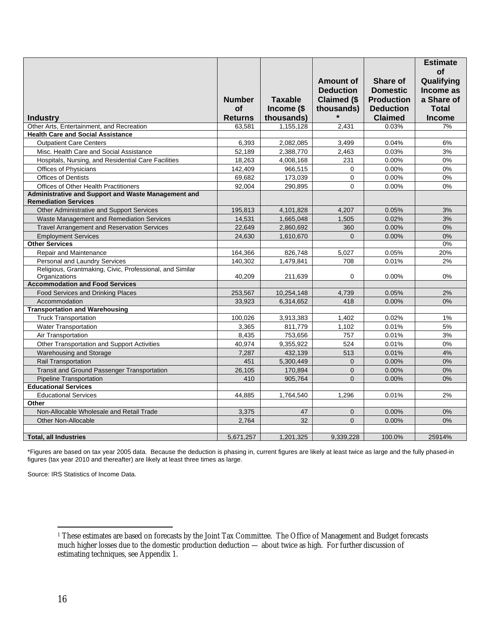|                                                          |                |                |                    |                   | <b>Estimate</b> |
|----------------------------------------------------------|----------------|----------------|--------------------|-------------------|-----------------|
|                                                          |                |                |                    |                   | <b>of</b>       |
|                                                          |                |                | Amount of          | Share of          | Qualifying      |
|                                                          |                |                | <b>Deduction</b>   | <b>Domestic</b>   | Income as       |
|                                                          | <b>Number</b>  | <b>Taxable</b> | <b>Claimed (\$</b> | <b>Production</b> | a Share of      |
|                                                          | <b>of</b>      | Income (\$     | thousands)         | <b>Deduction</b>  | Total           |
| <b>Industry</b>                                          | <b>Returns</b> | thousands)     |                    | <b>Claimed</b>    | <b>Income</b>   |
| Other Arts. Entertainment, and Recreation                | 63.581         | 1,155,128      | 2.431              | 0.03%             | 7%              |
| <b>Health Care and Social Assistance</b>                 |                |                |                    |                   |                 |
| <b>Outpatient Care Centers</b>                           | 6,393          | 2,082,085      | 3,499              | 0.04%             | 6%              |
| Misc. Health Care and Social Assistance                  | 52,189         | 2,388,770      | 2,463              | 0.03%             | 3%              |
| Hospitals, Nursing, and Residential Care Facilities      | 18,263         | 4,008,168      | 231                | 0.00%             | 0%              |
| Offices of Physicians                                    |                | 966,515        | 0                  | 0.00%             | 0%              |
| <b>Offices of Dentists</b>                               | 142,409        |                | $\Omega$           | 0.00%             | 0%              |
| <b>Offices of Other Health Practitioners</b>             | 69,682         | 173,039        | $\Omega$           |                   | 0%              |
| Administrative and Support and Waste Management and      | 92.004         | 290,895        |                    | 0.00%             |                 |
| <b>Remediation Services</b>                              |                |                |                    |                   |                 |
| Other Administrative and Support Services                | 195,813        | 4,101,828      | 4,207              | 0.05%             | 3%              |
| Waste Management and Remediation Services                | 14,531         | 1,665,048      | 1,505              | 0.02%             | 3%              |
| <b>Travel Arrangement and Reservation Services</b>       | 22,649         | 2,860,692      | 360                | 0.00%             | 0%              |
| <b>Employment Services</b>                               | 24,630         | 1,610,670      | $\Omega$           | 0.00%             | 0%              |
| <b>Other Services</b>                                    |                |                |                    |                   | 0%              |
| <b>Repair and Maintenance</b>                            | 164,366        | 826,748        | 5.027              | 0.05%             | 20%             |
| <b>Personal and Laundry Services</b>                     | 140.302        | 1,479,841      | 708                | 0.01%             | 2%              |
| Religious, Grantmaking, Civic, Professional, and Similar |                |                |                    |                   |                 |
| Organizations                                            | 40,209         | 211,639        | 0                  | 0.00%             | 0%              |
| <b>Accommodation and Food Services</b>                   |                |                |                    |                   |                 |
| Food Services and Drinking Places                        | 253,567        | 10,254,148     | 4,739              | 0.05%             | 2%              |
| Accommodation                                            | 33.923         | 6.314.652      | 418                | 0.00%             | 0%              |
| <b>Transportation and Warehousing</b>                    |                |                |                    |                   |                 |
| <b>Truck Transportation</b>                              | 100,026        | 3,913,383      | 1,402              | 0.02%             | 1%              |
| <b>Water Transportation</b>                              | 3,365          | 811,779        | 1,102              | 0.01%             | 5%              |
| Air Transportation                                       | 8,435          | 753,656        | 757                | 0.01%             | 3%              |
| Other Transportation and Support Activities              | 40,974         | 9,355,922      | 524                | 0.01%             | 0%              |
| Warehousing and Storage                                  | 7,287          | 432,139        | 513                | 0.01%             | 4%              |
| <b>Rail Transportation</b>                               | 451            | 5,300,449      | $\Omega$           | 0.00%             | 0%              |
| <b>Transit and Ground Passenger Transportation</b>       | 26,105         | 170,894        | $\overline{0}$     | 0.00%             | 0%              |
| <b>Pipeline Transportation</b>                           | 410            | 905,764        | $\Omega$           | 0.00%             | 0%              |
| <b>Educational Services</b>                              |                |                |                    |                   |                 |
| <b>Educational Services</b>                              | 44.885         | 1,764,540      | 1,296              | 0.01%             | 2%              |
| Other                                                    |                |                |                    |                   |                 |
| Non-Allocable Wholesale and Retail Trade                 | 3,375          | 47             | $\mathbf{0}$       | 0.00%             | 0%              |
| <b>Other Non-Allocable</b>                               | 2,764          | 32             | $\Omega$           | 0.00%             | 0%              |
|                                                          |                |                |                    |                   |                 |
| <b>Total, all Industries</b>                             | 5,671,257      | 1,201,325      | 9,339,228          | 100.0%            | 25914%          |

\*Figures are based on tax year 2005 data. Because the deduction is phasing in, current figures are likely at least twice as large and the fully phased-in figures (tax year 2010 and thereafter) are likely at least three times as large.

Source: IRS Statistics of Income Data.

 $\overline{a}$ 

<sup>1</sup> These estimates are based on forecasts by the Joint Tax Committee. The Office of Management and Budget forecasts much higher losses due to the domestic production deduction — about twice as high. For further discussion of estimating techniques, see Appendix 1.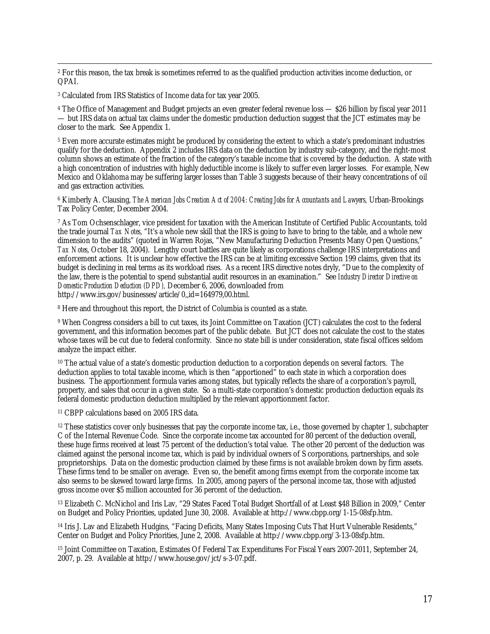<sup>2</sup> For this reason, the tax break is sometimes referred to as the qualified production activities income deduction, or QPAI.

3 Calculated from IRS Statistics of Income data for tax year 2005.

<sup>4</sup> The Office of Management and Budget projects an even greater federal revenue loss — \$26 billion by fiscal year 2011 — but IRS data on actual tax claims under the domestic production deduction suggest that the JCT estimates may be closer to the mark. See Appendix 1.

5 Even more accurate estimates might be produced by considering the extent to which a state's predominant industries qualify for the deduction. Appendix 2 includes IRS data on the deduction by industry sub-category, and the right-most column shows an estimate of the fraction of the category's taxable income that is covered by the deduction. A state with a high concentration of industries with highly deductible income is likely to suffer even larger losses. For example, New Mexico and Oklahoma may be suffering larger losses than Table 3 suggests because of their heavy concentrations of oil and gas extraction activities.

6 Kimberly A. Clausing, *The American Jobs Creation Act of 2004: Creating Jobs for Accountants and Lawyers,* Urban-Brookings Tax Policy Center, December 2004.

7 As Tom Ochsenschlager, vice president for taxation with the American Institute of Certified Public Accountants, told the trade journal *Tax Notes*, "It's a whole new skill that the IRS is going to have to bring to the table, and a whole new dimension to the audits" (quoted in Warren Rojas, "New Manufacturing Deduction Presents Many Open Questions," *Tax Notes*, October 18, 2004). Lengthy court battles are quite likely as corporations challenge IRS interpretations and enforcement actions. It is unclear how effective the IRS can be at limiting excessive Section 199 claims, given that its budget is declining in real terms as its workload rises. As a recent IRS directive notes dryly, "Due to the complexity of the law, there is the potential to spend substantial audit resources in an examination." See *Industry Director Directive on Domestic Production Deduction (DPD),* December 6, 2006, downloaded from http://www.irs.gov/businesses/article/0,,id=164979,00.html.

8 Here and throughout this report, the District of Columbia is counted as a state.

9 When Congress considers a bill to cut taxes, its Joint Committee on Taxation (JCT) calculates the cost to the federal government, and this information becomes part of the public debate. But JCT does not calculate the cost to the states whose taxes will be cut due to federal conformity. Since no state bill is under consideration, state fiscal offices seldom analyze the impact either.

<sup>10</sup> The actual value of a state's domestic production deduction to a corporation depends on several factors. The deduction applies to total taxable income, which is then "apportioned" to each state in which a corporation does business. The apportionment formula varies among states, but typically reflects the share of a corporation's payroll, property, and sales that occur in a given state. So a multi-state corporation's domestic production deduction equals its federal domestic production deduction multiplied by the relevant apportionment factor.

11 CBPP calculations based on 2005 IRS data.

 $12$  These statistics cover only businesses that pay the corporate income tax, i.e., those governed by chapter 1, subchapter C of the Internal Revenue Code. Since the corporate income tax accounted for 80 percent of the deduction overall, these huge firms received at least 75 percent of the deduction's total value. The other 20 percent of the deduction was claimed against the personal income tax, which is paid by individual owners of S corporations, partnerships, and sole proprietorships. Data on the domestic production claimed by these firms is not available broken down by firm assets. These firms tend to be smaller on average. Even so, the benefit among firms exempt from the corporate income tax also seems to be skewed toward large firms. In 2005, among payers of the personal income tax, those with adjusted gross income over \$5 million accounted for 36 percent of the deduction.

13 Elizabeth C. McNichol and Iris Lav, "29 States Faced Total Budget Shortfall of at Least \$48 Billion in 2009," Center on Budget and Policy Priorities, updated June 30, 2008. Available at http://www.cbpp.org/1-15-08sfp.htm.

<sup>14</sup> Iris J. Lav and Elizabeth Hudgins, "Facing Deficits, Many States Imposing Cuts That Hurt Vulnerable Residents," Center on Budget and Policy Priorities, June 2, 2008. Available at http://www.cbpp.org/3-13-08sfp.htm.

15 Joint Committee on Taxation, Estimates Of Federal Tax Expenditures For Fiscal Years 2007-2011, September 24, 2007, p. 29. Available at http://www.house.gov/jct/s-3-07.pdf.